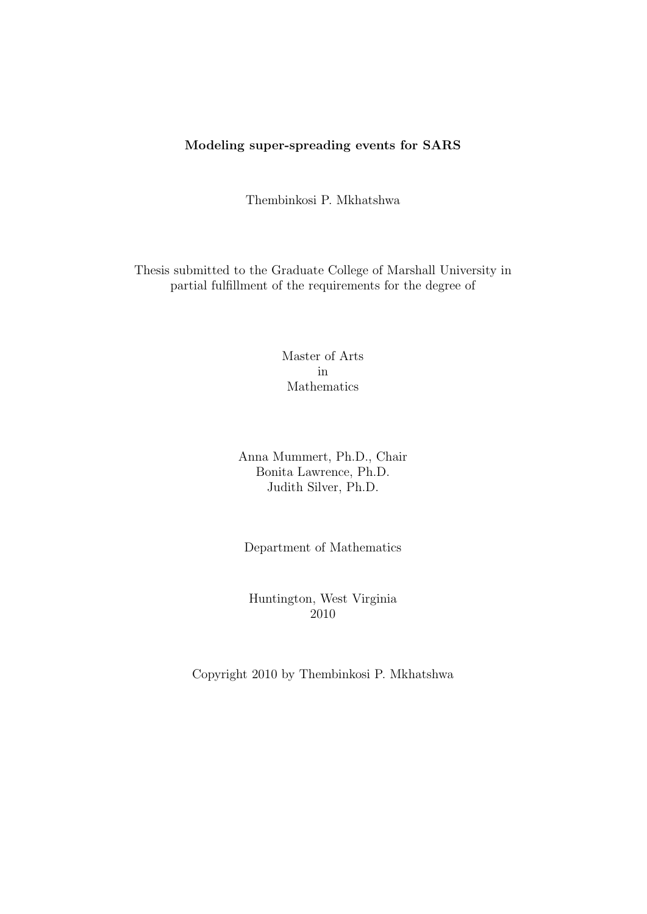## Modeling super-spreading events for SARS

Thembinkosi P. Mkhatshwa

Thesis submitted to the Graduate College of Marshall University in partial fulfillment of the requirements for the degree of

> Master of Arts in Mathematics

Anna Mummert, Ph.D., Chair Bonita Lawrence, Ph.D. Judith Silver, Ph.D.

Department of Mathematics

Huntington, West Virginia 2010

Copyright 2010 by Thembinkosi P. Mkhatshwa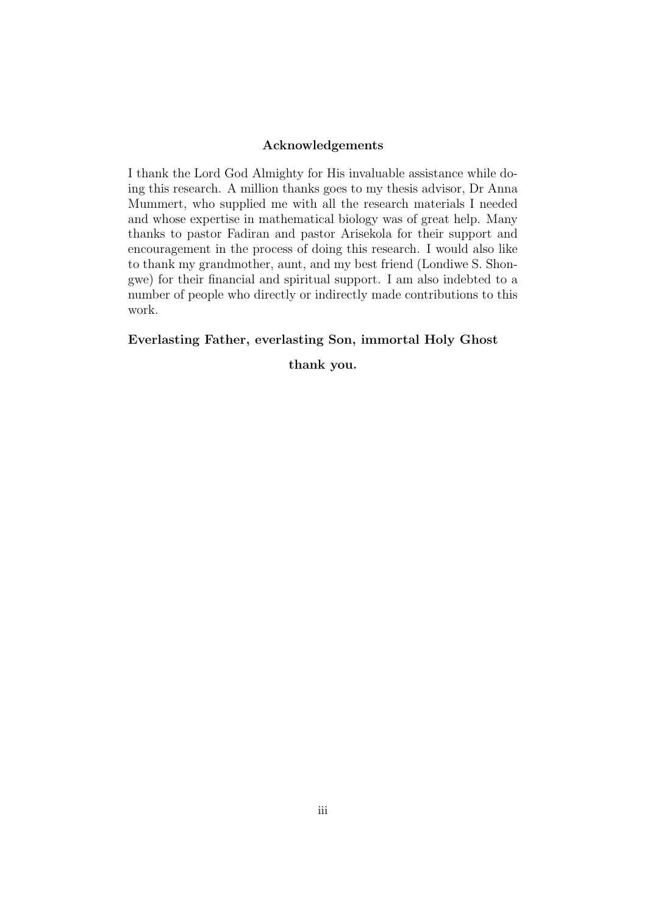#### Acknowledgements

I thank the Lord God Almighty for His invaluable assistance while doing this research. A million thanks goes to my thesis advisor, Dr Anna Mummert, who supplied me with all the research materials I needed and whose expertise in mathematical biology was of great help. Many thanks to pastor Fadiran and pastor Arisekola for their support and encouragement in the process of doing this research. I would also like to thank my grandmother, aunt, and my best friend (Londiwe S. Shongwe) for their financial and spiritual support. I am also indebted to a number of people who directly or indirectly made contributions to this work.

#### Everlasting Father, everlasting Son, immortal Holy Ghost

thank you.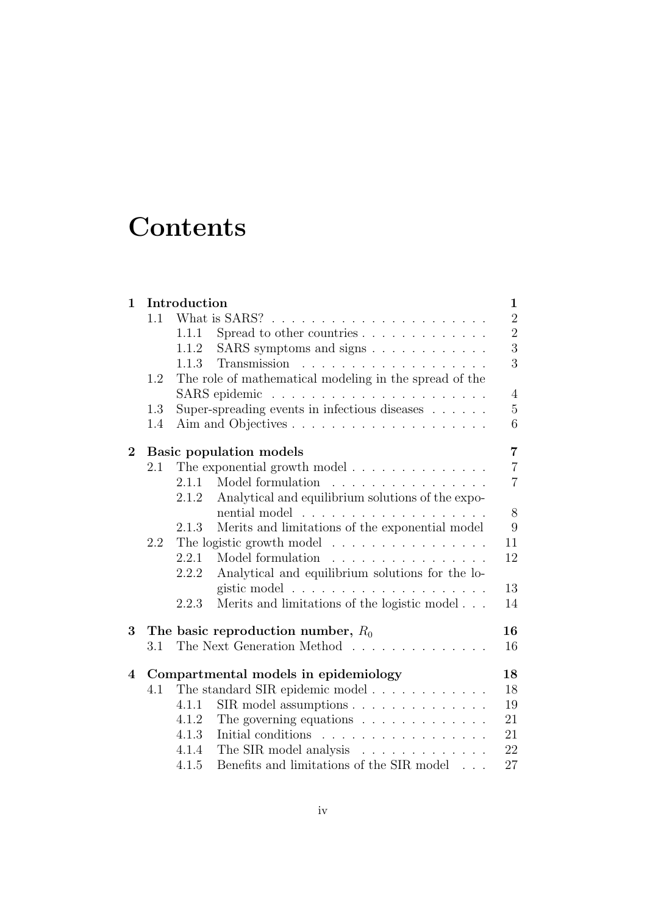# **Contents**

| $\mathbf 1$ | Introduction                                     |                                                                              |                |  |  |  |  |
|-------------|--------------------------------------------------|------------------------------------------------------------------------------|----------------|--|--|--|--|
|             | 1.1                                              |                                                                              |                |  |  |  |  |
|             |                                                  | Spread to other countries<br>1.1.1                                           | $\overline{2}$ |  |  |  |  |
|             |                                                  | SARS symptoms and signs<br>1.1.2                                             | $\overline{3}$ |  |  |  |  |
|             |                                                  | 1.1.3                                                                        | 3              |  |  |  |  |
|             | 1.2                                              | The role of mathematical modeling in the spread of the                       |                |  |  |  |  |
|             |                                                  | $\overline{4}$                                                               |                |  |  |  |  |
|             | 1.3                                              | Super-spreading events in infectious diseases                                | $\overline{5}$ |  |  |  |  |
|             | 1.4                                              | 6                                                                            |                |  |  |  |  |
| $\bf{2}$    | $\overline{7}$<br><b>Basic population models</b> |                                                                              |                |  |  |  |  |
|             | 2.1                                              | The exponential growth model $.\;.\;.\;.\;.\;.\;.\;.\;.\;.\;.\;.\;.\;.\;.\;$ | $\overline{7}$ |  |  |  |  |
|             |                                                  | Model formulation<br>2.1.1                                                   | $\overline{7}$ |  |  |  |  |
|             |                                                  | Analytical and equilibrium solutions of the expo-<br>2.1.2                   |                |  |  |  |  |
|             |                                                  |                                                                              | 8              |  |  |  |  |
|             |                                                  | Merits and limitations of the exponential model<br>2.1.3                     | 9              |  |  |  |  |
|             | 2.2                                              | The logistic growth model                                                    |                |  |  |  |  |
|             |                                                  | Model formulation<br>2.2.1                                                   | 12             |  |  |  |  |
|             |                                                  | Analytical and equilibrium solutions for the lo-<br>2.2.2                    |                |  |  |  |  |
|             |                                                  |                                                                              | 13             |  |  |  |  |
|             |                                                  | Merits and limitations of the logistic model<br>2.2.3                        | 14             |  |  |  |  |
| 3           |                                                  | The basic reproduction number, $R_0$                                         | 16             |  |  |  |  |
|             | 3.1                                              | The Next Generation Method                                                   | 16             |  |  |  |  |
| 4           | Compartmental models in epidemiology             | 18                                                                           |                |  |  |  |  |
|             | 4.1                                              |                                                                              | 18             |  |  |  |  |
|             |                                                  | $\text{SIR}$ model assumptions<br>4.1.1                                      | 19             |  |  |  |  |
|             |                                                  | The governing equations $\ldots \ldots \ldots \ldots$<br>4.1.2               | 21             |  |  |  |  |
|             |                                                  | Initial conditions<br>4.1.3                                                  | 21             |  |  |  |  |
|             |                                                  | The SIR model analysis<br>4.1.4                                              | 22             |  |  |  |  |
|             |                                                  | Benefits and limitations of the SIR model $\phantom{1} \ldots$<br>4.1.5      | 27             |  |  |  |  |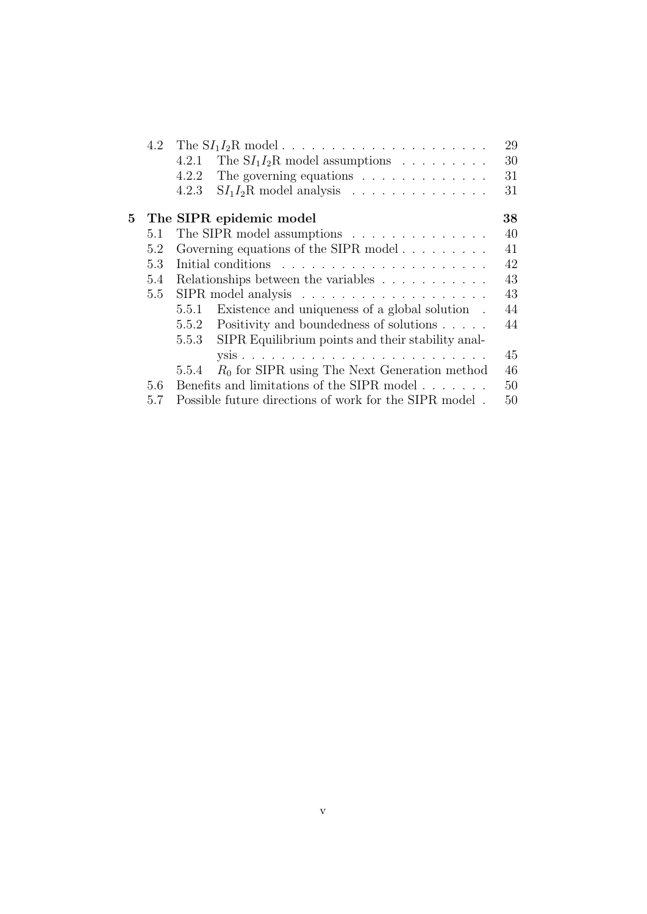|    | 4.2 |                                                                 |    |  |  |  |
|----|-----|-----------------------------------------------------------------|----|--|--|--|
|    |     | 4.2.1<br>The $SI_1I_2R$ model assumptions                       | 30 |  |  |  |
|    |     | 4.2.2<br>The governing equations $\ldots \ldots \ldots \ldots$  | 31 |  |  |  |
|    |     | 4.2.3<br>$SI_1I_2R$ model analysis                              | 31 |  |  |  |
| 5. |     | The SIPR epidemic model                                         | 38 |  |  |  |
|    | 5.1 | The SIPR model assumptions $\ldots \ldots \ldots \ldots \ldots$ | 40 |  |  |  |
|    | 5.2 | Governing equations of the SIPR model $\ldots$                  | 41 |  |  |  |
|    | 5.3 |                                                                 | 42 |  |  |  |
|    | 5.4 | Relationships between the variables                             | 43 |  |  |  |
|    | 5.5 |                                                                 | 43 |  |  |  |
|    |     | 5.5.1<br>Existence and uniqueness of a global solution.         | 44 |  |  |  |
|    |     | 5.5.2 Positivity and boundedness of solutions                   | 44 |  |  |  |
|    |     | 5.5.3<br>SIPR Equilibrium points and their stability anal-      |    |  |  |  |
|    |     |                                                                 | 45 |  |  |  |
|    |     | $R_0$ for SIPR using The Next Generation method<br>5.5.4        | 46 |  |  |  |
|    | 5.6 | Benefits and limitations of the SIPR model                      | 50 |  |  |  |
|    | 5.7 | Possible future directions of work for the SIPR model.          | 50 |  |  |  |
|    |     |                                                                 |    |  |  |  |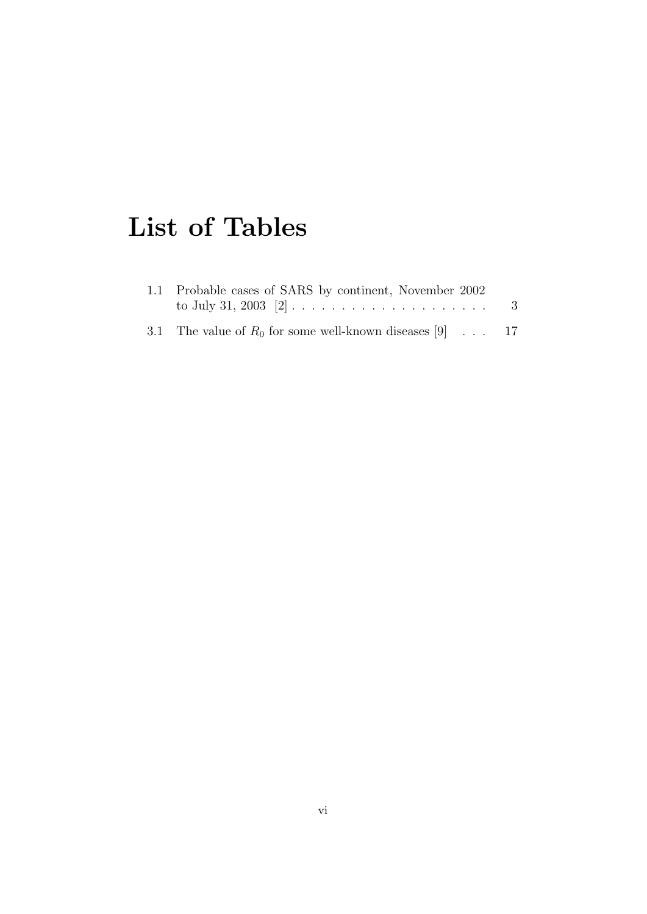# List of Tables

| 1.1 Probable cases of SARS by continent, November 2002     | -3 |
|------------------------------------------------------------|----|
| 3.1 The value of $R_0$ for some well-known diseases [9] 17 |    |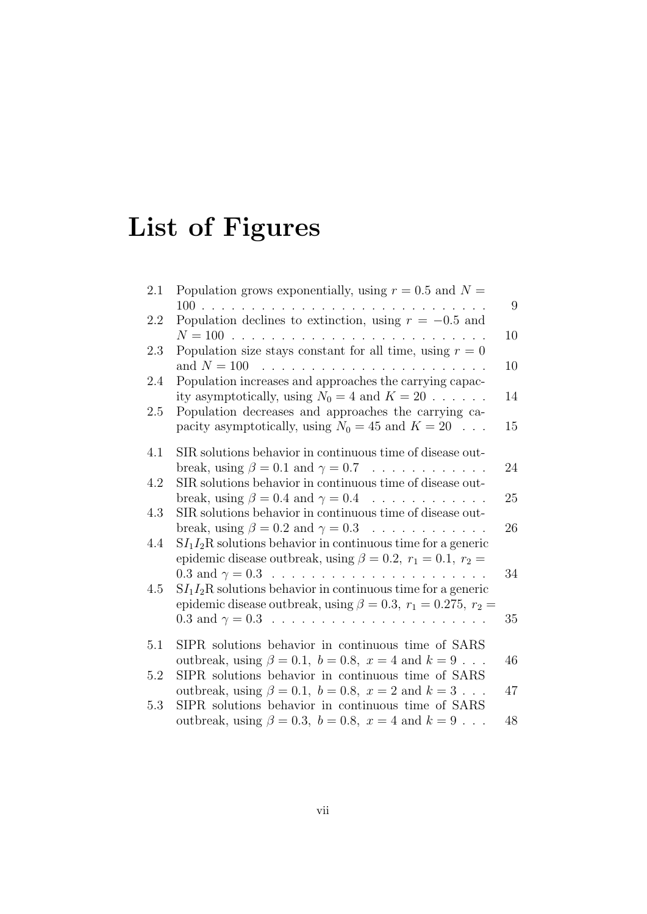# List of Figures

| 2.1 | Population grows exponentially, using $r = 0.5$ and $N =$                                                                                  |    |
|-----|--------------------------------------------------------------------------------------------------------------------------------------------|----|
|     |                                                                                                                                            | 9  |
| 2.2 | Population declines to extinction, using $r = -0.5$ and                                                                                    | 10 |
| 2.3 | Population size stays constant for all time, using $r = 0$                                                                                 | 10 |
| 2.4 | Population increases and approaches the carrying capac-<br>ity asymptotically, using $N_0 = 4$ and $K = 20$                                | 14 |
| 2.5 | Population decreases and approaches the carrying ca-<br>pacity asymptotically, using $N_0 = 45$ and $K = 20$                               | 15 |
| 4.1 | SIR solutions behavior in continuous time of disease out-                                                                                  |    |
| 4.2 | break, using $\beta = 0.1$ and $\gamma = 0.7$<br>SIR solutions behavior in continuous time of disease out-                                 | 24 |
|     | break, using $\beta = 0.4$ and $\gamma = 0.4$                                                                                              | 25 |
| 4.3 | SIR solutions behavior in continuous time of disease out-<br>break, using $\beta = 0.2$ and $\gamma = 0.3$                                 | 26 |
| 4.4 | $SI_1I_2R$ solutions behavior in continuous time for a generic<br>epidemic disease outbreak, using $\beta = 0.2$ , $r_1 = 0.1$ , $r_2 =$   | 34 |
| 4.5 | $SI_1I_2R$ solutions behavior in continuous time for a generic<br>epidemic disease outbreak, using $\beta = 0.3$ , $r_1 = 0.275$ , $r_2 =$ |    |
|     |                                                                                                                                            | 35 |
| 5.1 | SIPR solutions behavior in continuous time of SARS<br>outbreak, using $\beta = 0.1$ , $b = 0.8$ , $x = 4$ and $k = 9$                      | 46 |
| 5.2 | SIPR solutions behavior in continuous time of SARS                                                                                         |    |
| 5.3 | outbreak, using $\beta = 0.1$ , $b = 0.8$ , $x = 2$ and $k = 3$<br>SIPR solutions behavior in continuous time of SARS                      | 47 |
|     | outbreak, using $\beta = 0.3$ , $b = 0.8$ , $x = 4$ and $k = 9$                                                                            | 48 |
|     |                                                                                                                                            |    |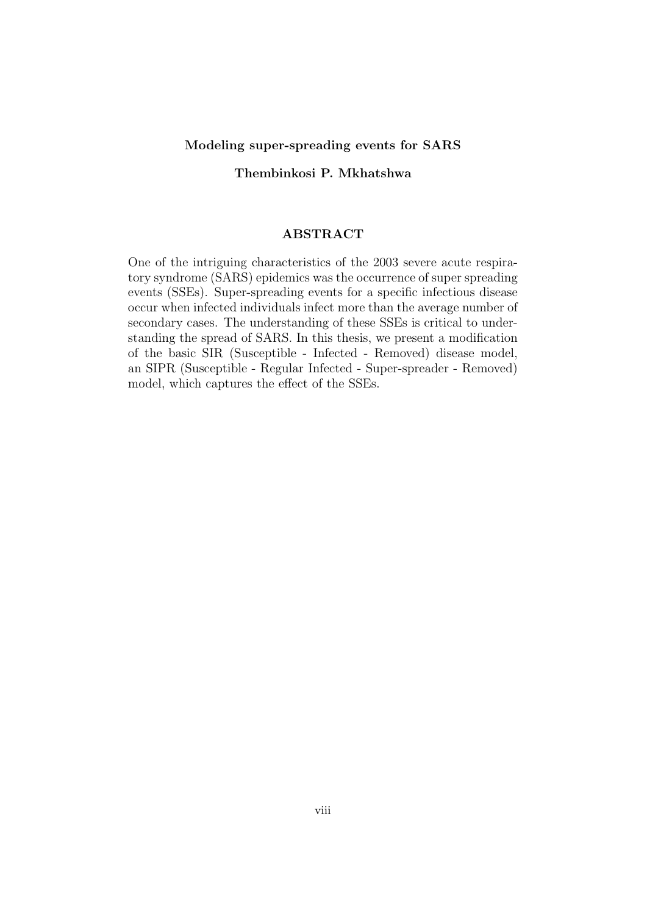#### Modeling super-spreading events for SARS

Thembinkosi P. Mkhatshwa

#### ABSTRACT

One of the intriguing characteristics of the 2003 severe acute respiratory syndrome (SARS) epidemics was the occurrence of super spreading events (SSEs). Super-spreading events for a specific infectious disease occur when infected individuals infect more than the average number of secondary cases. The understanding of these SSEs is critical to understanding the spread of SARS. In this thesis, we present a modification of the basic SIR (Susceptible - Infected - Removed) disease model, an SIPR (Susceptible - Regular Infected - Super-spreader - Removed) model, which captures the effect of the SSEs.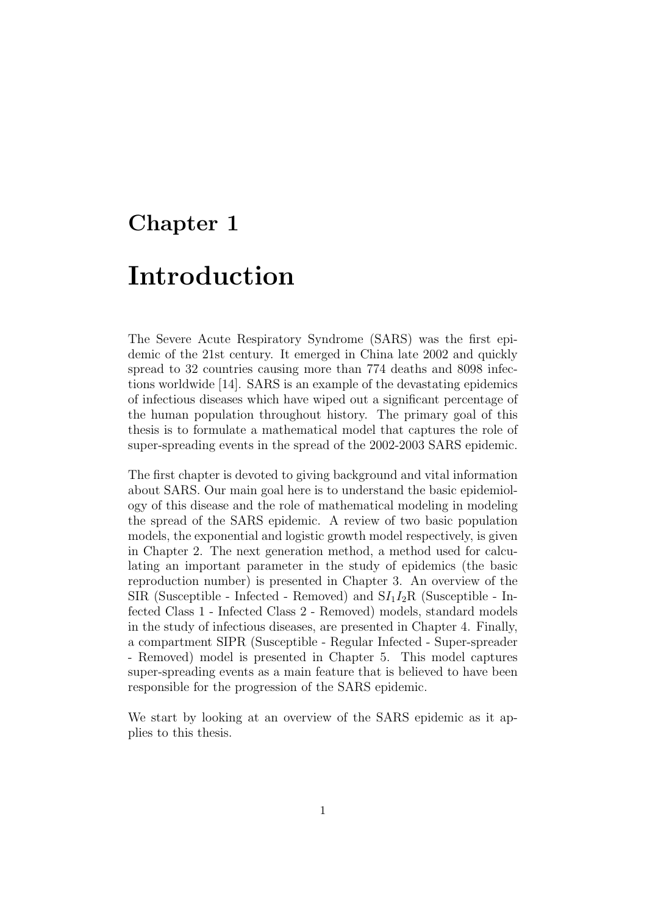# Chapter 1

# Introduction

The Severe Acute Respiratory Syndrome (SARS) was the first epidemic of the 21st century. It emerged in China late 2002 and quickly spread to 32 countries causing more than 774 deaths and 8098 infections worldwide [14]. SARS is an example of the devastating epidemics of infectious diseases which have wiped out a significant percentage of the human population throughout history. The primary goal of this thesis is to formulate a mathematical model that captures the role of super-spreading events in the spread of the 2002-2003 SARS epidemic.

The first chapter is devoted to giving background and vital information about SARS. Our main goal here is to understand the basic epidemiology of this disease and the role of mathematical modeling in modeling the spread of the SARS epidemic. A review of two basic population models, the exponential and logistic growth model respectively, is given in Chapter 2. The next generation method, a method used for calculating an important parameter in the study of epidemics (the basic reproduction number) is presented in Chapter 3. An overview of the SIR (Susceptible - Infected - Removed) and  $S/I_1I_2R$  (Susceptible - Infected Class 1 - Infected Class 2 - Removed) models, standard models in the study of infectious diseases, are presented in Chapter 4. Finally, a compartment SIPR (Susceptible - Regular Infected - Super-spreader - Removed) model is presented in Chapter 5. This model captures super-spreading events as a main feature that is believed to have been responsible for the progression of the SARS epidemic.

We start by looking at an overview of the SARS epidemic as it applies to this thesis.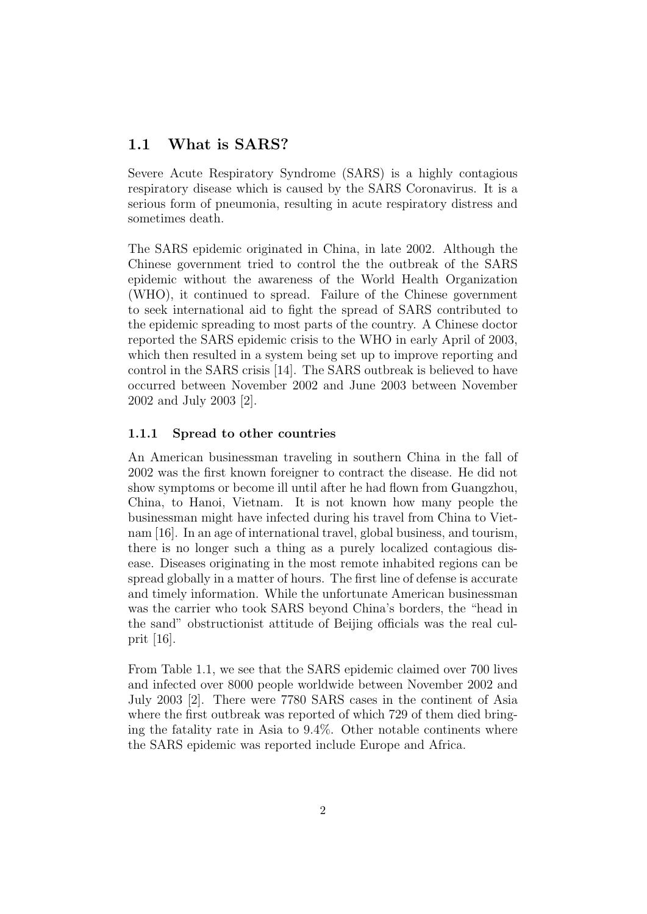## 1.1 What is SARS?

Severe Acute Respiratory Syndrome (SARS) is a highly contagious respiratory disease which is caused by the SARS Coronavirus. It is a serious form of pneumonia, resulting in acute respiratory distress and sometimes death.

The SARS epidemic originated in China, in late 2002. Although the Chinese government tried to control the the outbreak of the SARS epidemic without the awareness of the World Health Organization (WHO), it continued to spread. Failure of the Chinese government to seek international aid to fight the spread of SARS contributed to the epidemic spreading to most parts of the country. A Chinese doctor reported the SARS epidemic crisis to the WHO in early April of 2003, which then resulted in a system being set up to improve reporting and control in the SARS crisis [14]. The SARS outbreak is believed to have occurred between November 2002 and June 2003 between November 2002 and July 2003 [2].

#### 1.1.1 Spread to other countries

An American businessman traveling in southern China in the fall of 2002 was the first known foreigner to contract the disease. He did not show symptoms or become ill until after he had flown from Guangzhou, China, to Hanoi, Vietnam. It is not known how many people the businessman might have infected during his travel from China to Vietnam [16]. In an age of international travel, global business, and tourism, there is no longer such a thing as a purely localized contagious disease. Diseases originating in the most remote inhabited regions can be spread globally in a matter of hours. The first line of defense is accurate and timely information. While the unfortunate American businessman was the carrier who took SARS beyond China's borders, the "head in the sand" obstructionist attitude of Beijing officials was the real culprit [16].

From Table 1.1, we see that the SARS epidemic claimed over 700 lives and infected over 8000 people worldwide between November 2002 and July 2003 [2]. There were 7780 SARS cases in the continent of Asia where the first outbreak was reported of which 729 of them died bringing the fatality rate in Asia to 9.4%. Other notable continents where the SARS epidemic was reported include Europe and Africa.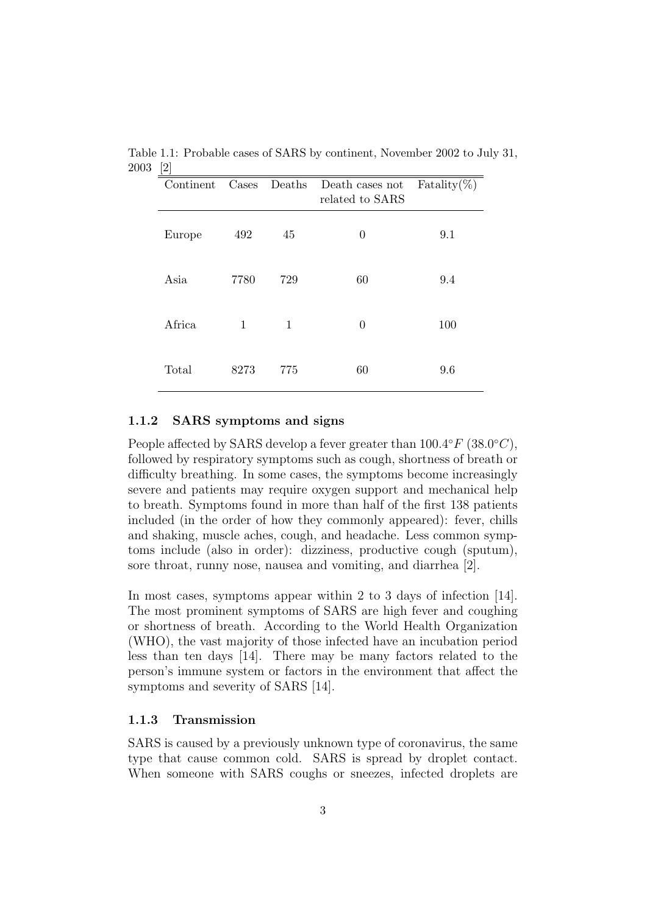| Continent | Cases | Deaths | Death cases not<br>related to SARS | Fatality $(\%)$ |
|-----------|-------|--------|------------------------------------|-----------------|
| Europe    | 492   | 45     | $\theta$                           | 9.1             |
| Asia      | 7780  | 729    | 60                                 | 9.4             |
| Africa    | 1     | 1      | $\Omega$                           | 100             |
| Total     | 8273  | 775    | 60                                 | 9.6             |

Table 1.1: Probable cases of SARS by continent, November 2002 to July 31, 2003 [2]

#### 1.1.2 SARS symptoms and signs

People affected by SARS develop a fever greater than  $100.4^{\circ}F(38.0^{\circ}C)$ , followed by respiratory symptoms such as cough, shortness of breath or difficulty breathing. In some cases, the symptoms become increasingly severe and patients may require oxygen support and mechanical help to breath. Symptoms found in more than half of the first 138 patients included (in the order of how they commonly appeared): fever, chills and shaking, muscle aches, cough, and headache. Less common symptoms include (also in order): dizziness, productive cough (sputum), sore throat, runny nose, nausea and vomiting, and diarrhea [2].

In most cases, symptoms appear within 2 to 3 days of infection [14]. The most prominent symptoms of SARS are high fever and coughing or shortness of breath. According to the World Health Organization (WHO), the vast majority of those infected have an incubation period less than ten days [14]. There may be many factors related to the person's immune system or factors in the environment that affect the symptoms and severity of SARS [14].

#### 1.1.3 Transmission

SARS is caused by a previously unknown type of coronavirus, the same type that cause common cold. SARS is spread by droplet contact. When someone with SARS coughs or sneezes, infected droplets are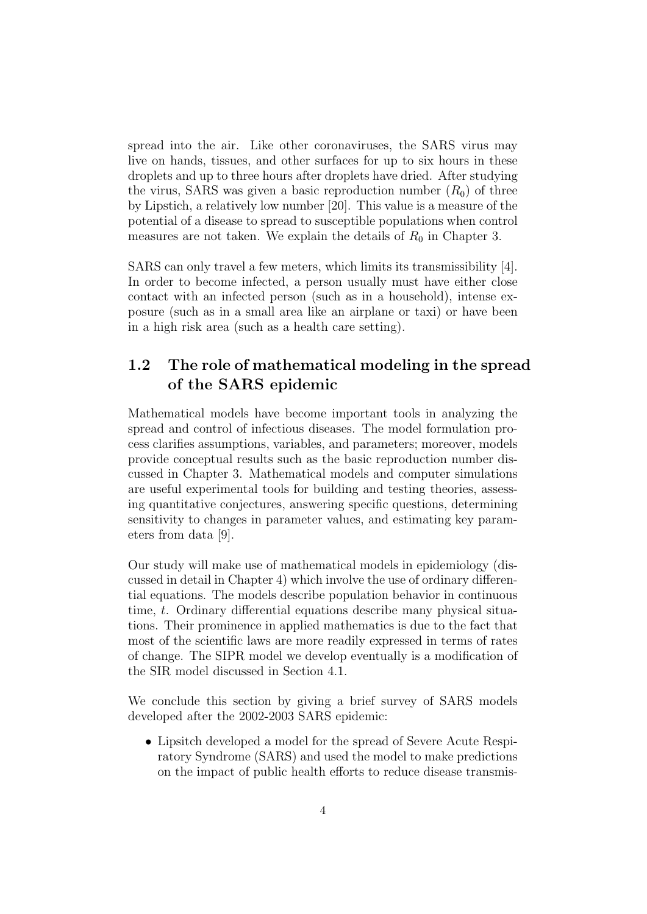spread into the air. Like other coronaviruses, the SARS virus may live on hands, tissues, and other surfaces for up to six hours in these droplets and up to three hours after droplets have dried. After studying the virus, SARS was given a basic reproduction number  $(R_0)$  of three by Lipstich, a relatively low number [20]. This value is a measure of the potential of a disease to spread to susceptible populations when control measures are not taken. We explain the details of  $R_0$  in Chapter 3.

SARS can only travel a few meters, which limits its transmissibility [4]. In order to become infected, a person usually must have either close contact with an infected person (such as in a household), intense exposure (such as in a small area like an airplane or taxi) or have been in a high risk area (such as a health care setting).

## 1.2 The role of mathematical modeling in the spread of the SARS epidemic

Mathematical models have become important tools in analyzing the spread and control of infectious diseases. The model formulation process clarifies assumptions, variables, and parameters; moreover, models provide conceptual results such as the basic reproduction number discussed in Chapter 3. Mathematical models and computer simulations are useful experimental tools for building and testing theories, assessing quantitative conjectures, answering specific questions, determining sensitivity to changes in parameter values, and estimating key parameters from data [9].

Our study will make use of mathematical models in epidemiology (discussed in detail in Chapter 4) which involve the use of ordinary differential equations. The models describe population behavior in continuous time, t. Ordinary differential equations describe many physical situations. Their prominence in applied mathematics is due to the fact that most of the scientific laws are more readily expressed in terms of rates of change. The SIPR model we develop eventually is a modification of the SIR model discussed in Section 4.1.

We conclude this section by giving a brief survey of SARS models developed after the 2002-2003 SARS epidemic:

• Lipsitch developed a model for the spread of Severe Acute Respiratory Syndrome (SARS) and used the model to make predictions on the impact of public health efforts to reduce disease transmis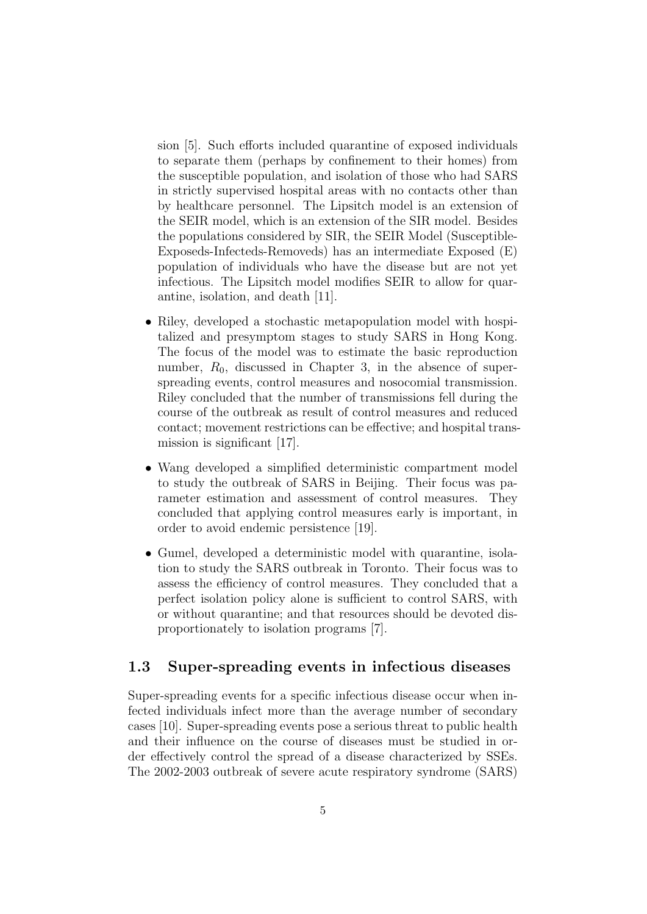sion [5]. Such efforts included quarantine of exposed individuals to separate them (perhaps by confinement to their homes) from the susceptible population, and isolation of those who had SARS in strictly supervised hospital areas with no contacts other than by healthcare personnel. The Lipsitch model is an extension of the SEIR model, which is an extension of the SIR model. Besides the populations considered by SIR, the SEIR Model (Susceptible-Exposeds-Infecteds-Removeds) has an intermediate Exposed (E) population of individuals who have the disease but are not yet infectious. The Lipsitch model modifies SEIR to allow for quarantine, isolation, and death [11].

- Riley, developed a stochastic metapopulation model with hospitalized and presymptom stages to study SARS in Hong Kong. The focus of the model was to estimate the basic reproduction number,  $R_0$ , discussed in Chapter 3, in the absence of superspreading events, control measures and nosocomial transmission. Riley concluded that the number of transmissions fell during the course of the outbreak as result of control measures and reduced contact; movement restrictions can be effective; and hospital transmission is significant [17].
- Wang developed a simplified deterministic compartment model to study the outbreak of SARS in Beijing. Their focus was parameter estimation and assessment of control measures. They concluded that applying control measures early is important, in order to avoid endemic persistence [19].
- Gumel, developed a deterministic model with quarantine, isolation to study the SARS outbreak in Toronto. Their focus was to assess the efficiency of control measures. They concluded that a perfect isolation policy alone is sufficient to control SARS, with or without quarantine; and that resources should be devoted disproportionately to isolation programs [7].

### 1.3 Super-spreading events in infectious diseases

Super-spreading events for a specific infectious disease occur when infected individuals infect more than the average number of secondary cases [10]. Super-spreading events pose a serious threat to public health and their influence on the course of diseases must be studied in order effectively control the spread of a disease characterized by SSEs. The 2002-2003 outbreak of severe acute respiratory syndrome (SARS)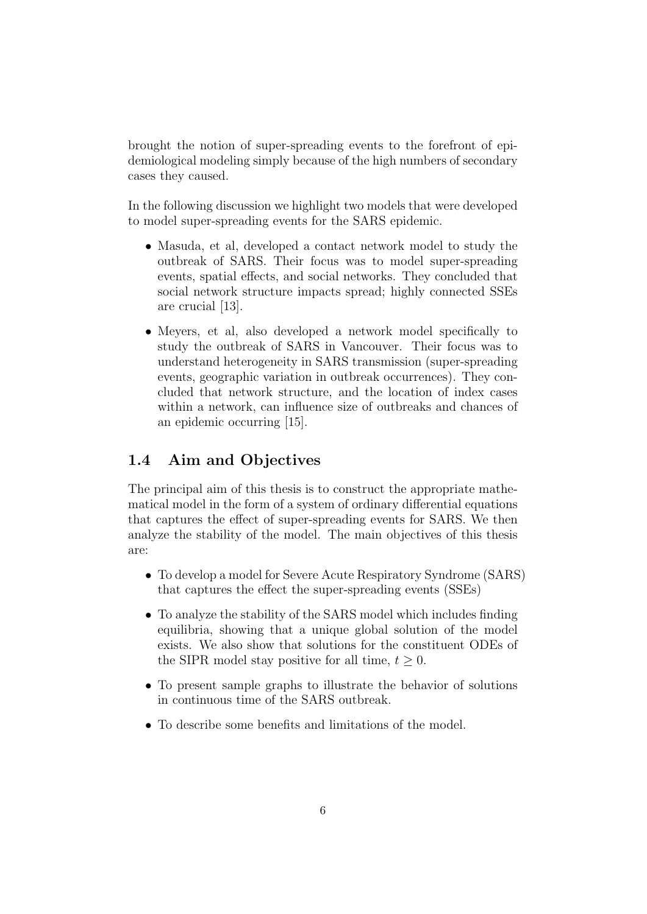brought the notion of super-spreading events to the forefront of epidemiological modeling simply because of the high numbers of secondary cases they caused.

In the following discussion we highlight two models that were developed to model super-spreading events for the SARS epidemic.

- Masuda, et al, developed a contact network model to study the outbreak of SARS. Their focus was to model super-spreading events, spatial effects, and social networks. They concluded that social network structure impacts spread; highly connected SSEs are crucial [13].
- Meyers, et al, also developed a network model specifically to study the outbreak of SARS in Vancouver. Their focus was to understand heterogeneity in SARS transmission (super-spreading events, geographic variation in outbreak occurrences). They concluded that network structure, and the location of index cases within a network, can influence size of outbreaks and chances of an epidemic occurring [15].

## 1.4 Aim and Objectives

The principal aim of this thesis is to construct the appropriate mathematical model in the form of a system of ordinary differential equations that captures the effect of super-spreading events for SARS. We then analyze the stability of the model. The main objectives of this thesis are:

- To develop a model for Severe Acute Respiratory Syndrome (SARS) that captures the effect the super-spreading events (SSEs)
- To analyze the stability of the SARS model which includes finding equilibria, showing that a unique global solution of the model exists. We also show that solutions for the constituent ODEs of the SIPR model stay positive for all time,  $t \geq 0$ .
- To present sample graphs to illustrate the behavior of solutions in continuous time of the SARS outbreak.
- To describe some benefits and limitations of the model.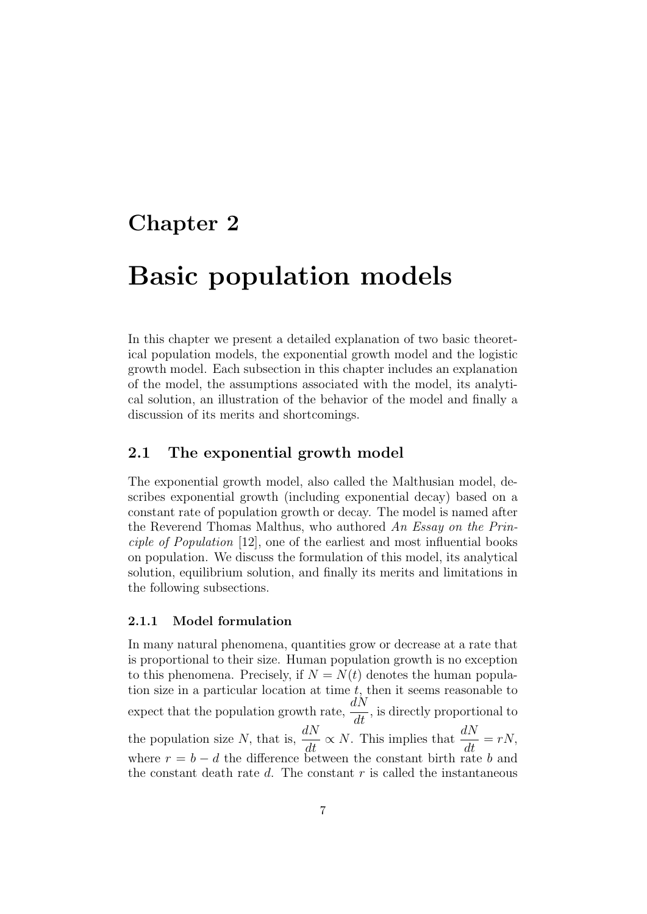# Chapter 2

# Basic population models

In this chapter we present a detailed explanation of two basic theoretical population models, the exponential growth model and the logistic growth model. Each subsection in this chapter includes an explanation of the model, the assumptions associated with the model, its analytical solution, an illustration of the behavior of the model and finally a discussion of its merits and shortcomings.

## 2.1 The exponential growth model

The exponential growth model, also called the Malthusian model, describes exponential growth (including exponential decay) based on a constant rate of population growth or decay. The model is named after the Reverend Thomas Malthus, who authored An Essay on the Principle of Population [12], one of the earliest and most influential books on population. We discuss the formulation of this model, its analytical solution, equilibrium solution, and finally its merits and limitations in the following subsections.

#### 2.1.1 Model formulation

In many natural phenomena, quantities grow or decrease at a rate that is proportional to their size. Human population growth is no exception to this phenomena. Precisely, if  $N = N(t)$  denotes the human population size in a particular location at time  $t$ , then it seems reasonable to expect that the population growth rate,  $\frac{dN}{dt}$  $\frac{d}{dt}$ , is directly proportional to the population size N, that is,  $\frac{dN}{dt} \propto N$ . This implies that  $\frac{dN}{dt} = rN$ , where  $r = b - d$  the difference between the constant birth rate b and the constant death rate  $d$ . The constant  $r$  is called the instantaneous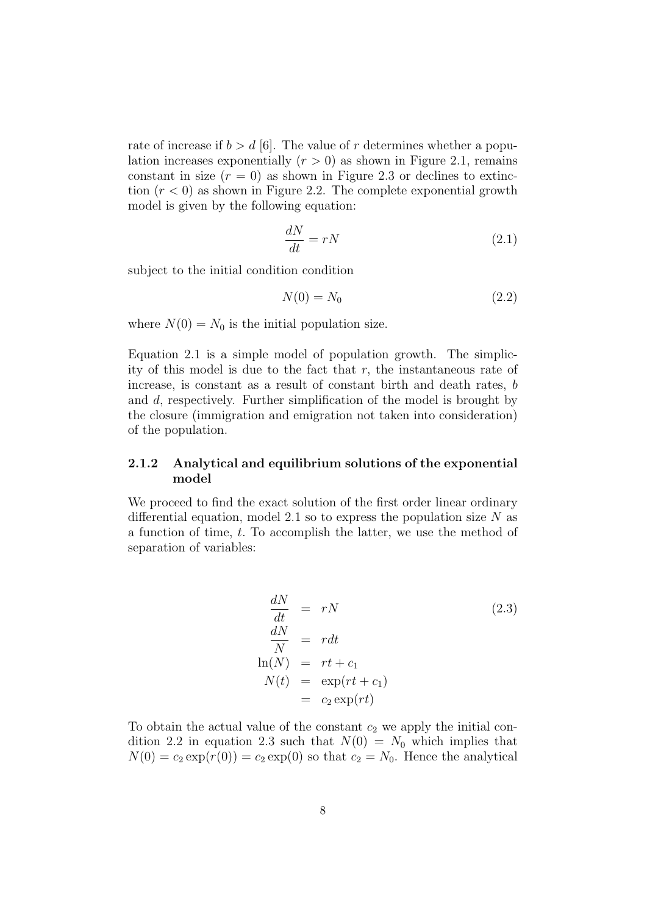rate of increase if  $b > d$  [6]. The value of r determines whether a population increases exponentially  $(r > 0)$  as shown in Figure 2.1, remains constant in size  $(r = 0)$  as shown in Figure 2.3 or declines to extinction  $(r < 0)$  as shown in Figure 2.2. The complete exponential growth model is given by the following equation:

$$
\frac{dN}{dt} = rN\tag{2.1}
$$

subject to the initial condition condition

$$
N(0) = N_0 \tag{2.2}
$$

where  $N(0) = N_0$  is the initial population size.

Equation 2.1 is a simple model of population growth. The simplicity of this model is due to the fact that  $r$ , the instantaneous rate of increase, is constant as a result of constant birth and death rates, b and d, respectively. Further simplification of the model is brought by the closure (immigration and emigration not taken into consideration) of the population.

#### 2.1.2 Analytical and equilibrium solutions of the exponential model

We proceed to find the exact solution of the first order linear ordinary differential equation, model 2.1 so to express the population size  $N$  as a function of time, t. To accomplish the latter, we use the method of separation of variables:

$$
\frac{dN}{dt} = rN
$$
\n
$$
\frac{dN}{N} = rdt
$$
\n
$$
\ln(N) = rt + c_1
$$
\n
$$
N(t) = \exp(rt + c_1)
$$
\n
$$
= c_2 \exp(rt)
$$
\n(2.3)

To obtain the actual value of the constant  $c_2$  we apply the initial condition 2.2 in equation 2.3 such that  $N(0) = N_0$  which implies that  $N(0) = c_2 \exp(r(0)) = c_2 \exp(0)$  so that  $c_2 = N_0$ . Hence the analytical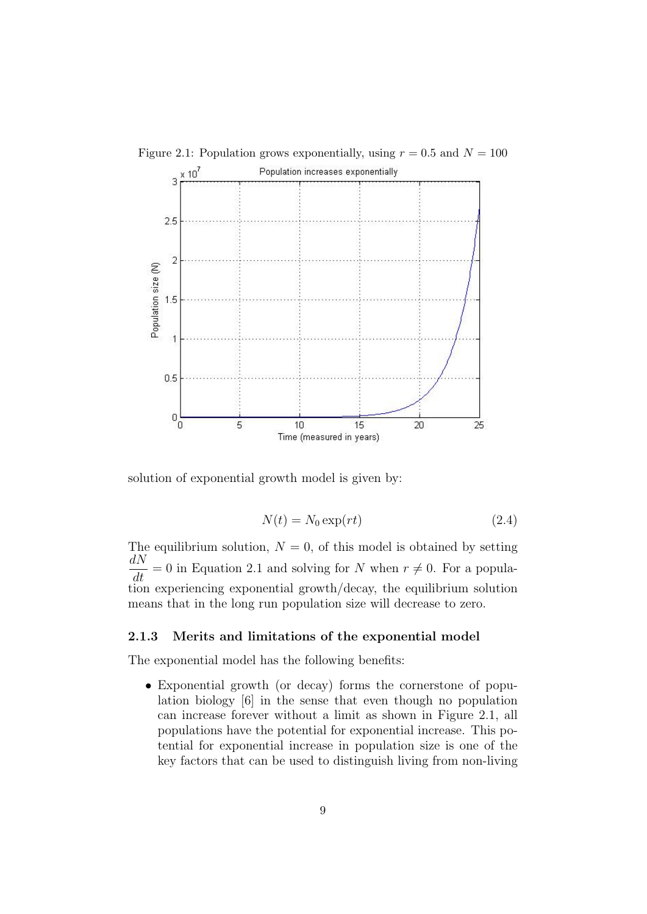

Figure 2.1: Population grows exponentially, using  $r = 0.5$  and  $N = 100$ 

solution of exponential growth model is given by:

$$
N(t) = N_0 \exp(rt) \tag{2.4}
$$

The equilibrium solution,  $N = 0$ , of this model is obtained by setting  $\frac{dN}{dt}$ = 0 in Equation 2.1 and solving for N when  $r \neq 0$ . For a population experiencing exponential growth/decay, the equilibrium solution means that in the long run population size will decrease to zero.

#### 2.1.3 Merits and limitations of the exponential model

The exponential model has the following benefits:

• Exponential growth (or decay) forms the cornerstone of population biology [6] in the sense that even though no population can increase forever without a limit as shown in Figure 2.1, all populations have the potential for exponential increase. This potential for exponential increase in population size is one of the key factors that can be used to distinguish living from non-living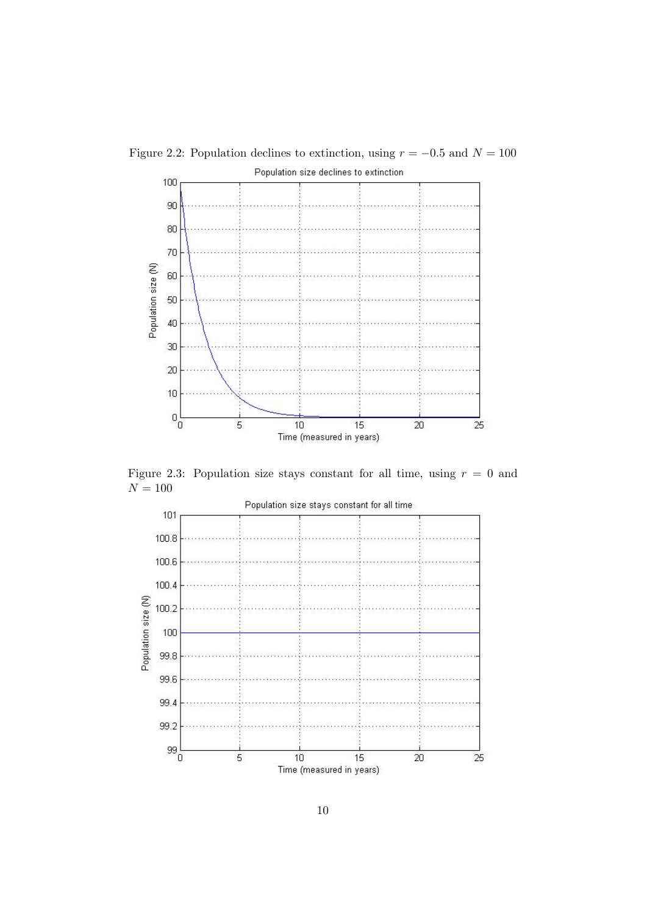

Figure 2.2: Population declines to extinction, using  $r = -0.5$  and  $N = 100$ 

Figure 2.3: Population size stays constant for all time, using  $r = 0$  and  ${\cal N}=100$ 

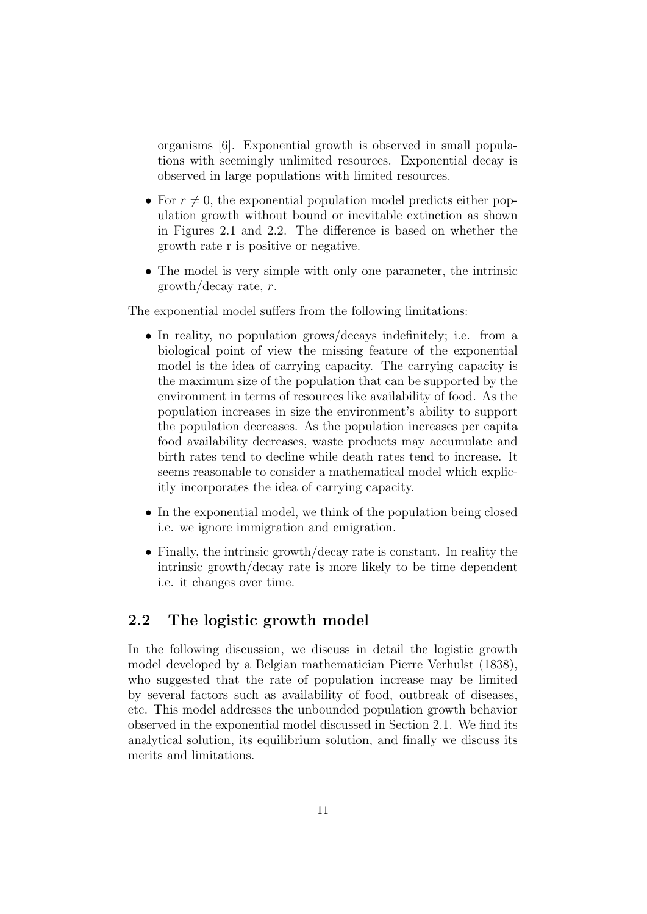organisms [6]. Exponential growth is observed in small populations with seemingly unlimited resources. Exponential decay is observed in large populations with limited resources.

- For  $r \neq 0$ , the exponential population model predicts either population growth without bound or inevitable extinction as shown in Figures 2.1 and 2.2. The difference is based on whether the growth rate r is positive or negative.
- The model is very simple with only one parameter, the intrinsic growth/decay rate, r.

The exponential model suffers from the following limitations:

- In reality, no population grows/decays indefinitely; i.e. from a biological point of view the missing feature of the exponential model is the idea of carrying capacity. The carrying capacity is the maximum size of the population that can be supported by the environment in terms of resources like availability of food. As the population increases in size the environment's ability to support the population decreases. As the population increases per capita food availability decreases, waste products may accumulate and birth rates tend to decline while death rates tend to increase. It seems reasonable to consider a mathematical model which explicitly incorporates the idea of carrying capacity.
- In the exponential model, we think of the population being closed i.e. we ignore immigration and emigration.
- Finally, the intrinsic growth/decay rate is constant. In reality the intrinsic growth/decay rate is more likely to be time dependent i.e. it changes over time.

## 2.2 The logistic growth model

In the following discussion, we discuss in detail the logistic growth model developed by a Belgian mathematician Pierre Verhulst (1838), who suggested that the rate of population increase may be limited by several factors such as availability of food, outbreak of diseases, etc. This model addresses the unbounded population growth behavior observed in the exponential model discussed in Section 2.1. We find its analytical solution, its equilibrium solution, and finally we discuss its merits and limitations.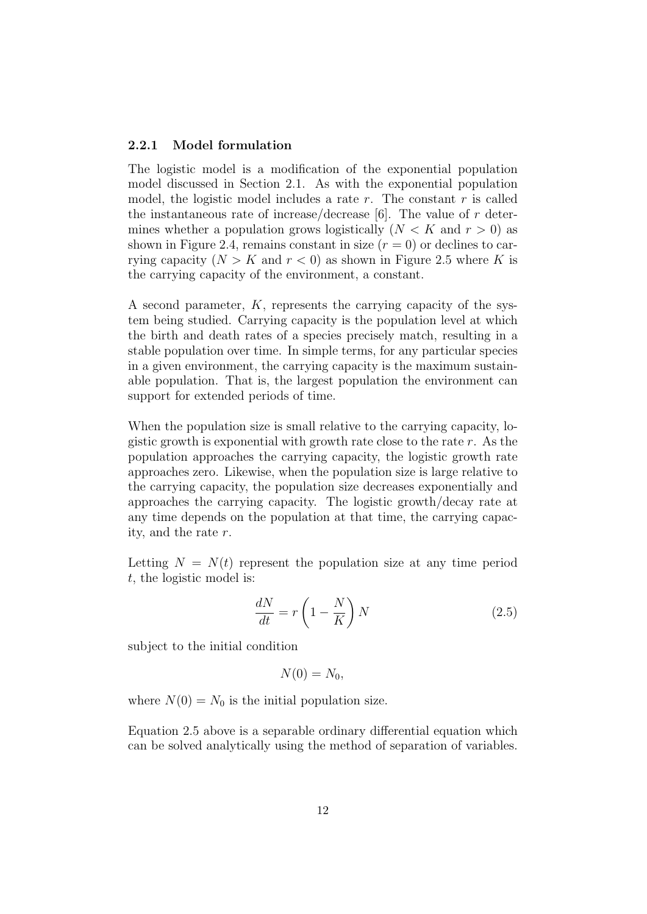#### 2.2.1 Model formulation

The logistic model is a modification of the exponential population model discussed in Section 2.1. As with the exponential population model, the logistic model includes a rate  $r$ . The constant  $r$  is called the instantaneous rate of increase/decrease [6]. The value of  $r$  determines whether a population grows logistically  $(N < K$  and  $r > 0$ ) as shown in Figure 2.4, remains constant in size  $(r = 0)$  or declines to carrying capacity  $(N > K$  and  $r < 0$ ) as shown in Figure 2.5 where K is the carrying capacity of the environment, a constant.

A second parameter, K, represents the carrying capacity of the system being studied. Carrying capacity is the population level at which the birth and death rates of a species precisely match, resulting in a stable population over time. In simple terms, for any particular species in a given environment, the carrying capacity is the maximum sustainable population. That is, the largest population the environment can support for extended periods of time.

When the population size is small relative to the carrying capacity, logistic growth is exponential with growth rate close to the rate  $r$ . As the population approaches the carrying capacity, the logistic growth rate approaches zero. Likewise, when the population size is large relative to the carrying capacity, the population size decreases exponentially and approaches the carrying capacity. The logistic growth/decay rate at any time depends on the population at that time, the carrying capacity, and the rate r.

Letting  $N = N(t)$  represent the population size at any time period t, the logistic model is:

$$
\frac{dN}{dt} = r\left(1 - \frac{N}{K}\right)N\tag{2.5}
$$

subject to the initial condition

$$
N(0)=N_0,
$$

where  $N(0) = N_0$  is the initial population size.

Equation 2.5 above is a separable ordinary differential equation which can be solved analytically using the method of separation of variables.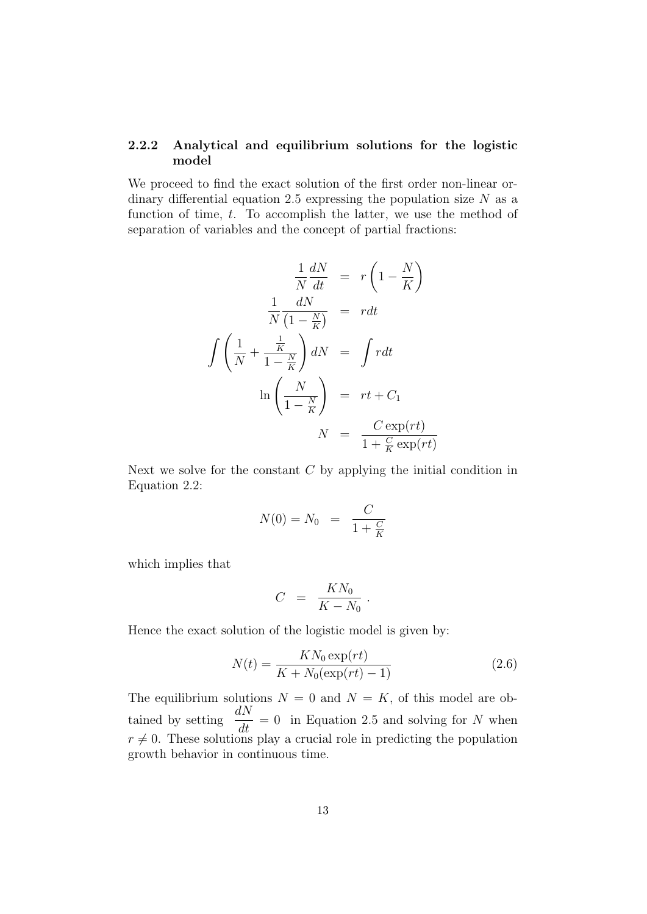#### 2.2.2 Analytical and equilibrium solutions for the logistic model

We proceed to find the exact solution of the first order non-linear ordinary differential equation 2.5 expressing the population size  $N$  as a function of time, t. To accomplish the latter, we use the method of separation of variables and the concept of partial fractions:

$$
\frac{1}{N}\frac{dN}{dt} = r\left(1 - \frac{N}{K}\right)
$$

$$
\frac{1}{N}\frac{dN}{\left(1 - \frac{N}{K}\right)} = rdt
$$

$$
\int \left(\frac{1}{N} + \frac{\frac{1}{K}}{1 - \frac{N}{K}}\right)dN = \int rdt
$$

$$
\ln\left(\frac{N}{1 - \frac{N}{K}}\right) = rt + C_1
$$

$$
N = \frac{C\exp(rt)}{1 + \frac{C}{K}\exp(rt)}
$$

Next we solve for the constant  $C$  by applying the initial condition in Equation 2.2:

$$
N(0) = N_0 = \frac{C}{1 + \frac{C}{K}}
$$

which implies that

$$
C = \frac{KN_0}{K - N_0}.
$$

Hence the exact solution of the logistic model is given by:

$$
N(t) = \frac{KN_0 \exp(rt)}{K + N_0(\exp(rt) - 1)}
$$
\n(2.6)

The equilibrium solutions  $N = 0$  and  $N = K$ , of this model are obtained by setting  $\frac{dN}{dt}$  $\frac{du}{dt} = 0$  in Equation 2.5 and solving for N when  $r \neq 0$ . These solutions play a crucial role in predicting the population growth behavior in continuous time.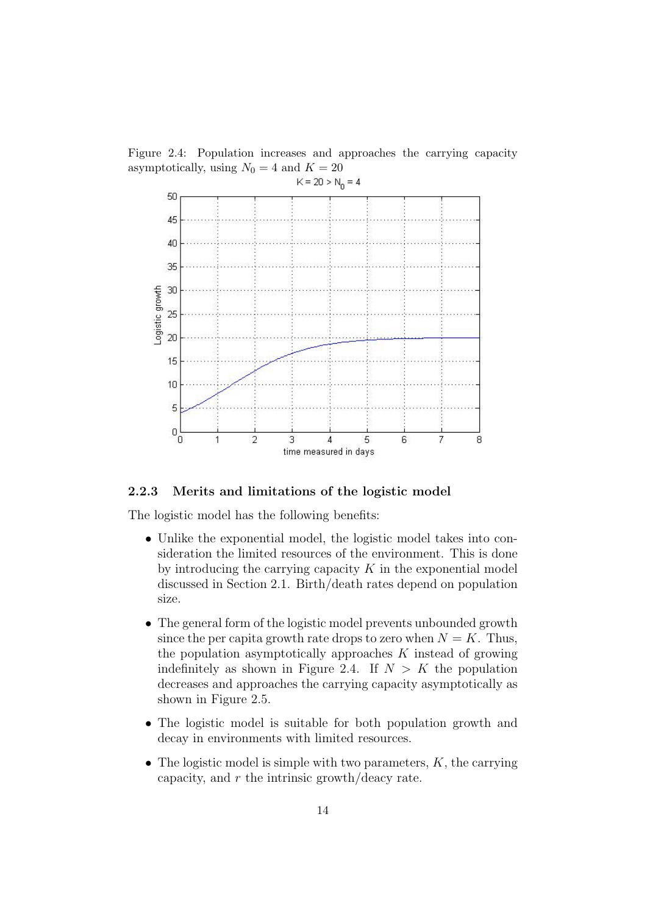Figure 2.4: Population increases and approaches the carrying capacity asymptotically, using  $N_0 = 4$  and  $K = 20$ 



#### 2.2.3 Merits and limitations of the logistic model

The logistic model has the following benefits:

- Unlike the exponential model, the logistic model takes into consideration the limited resources of the environment. This is done by introducing the carrying capacity  $K$  in the exponential model discussed in Section 2.1. Birth/death rates depend on population size.
- The general form of the logistic model prevents unbounded growth since the per capita growth rate drops to zero when  $N = K$ . Thus, the population asymptotically approaches  $K$  instead of growing indefinitely as shown in Figure 2.4. If  $N > K$  the population decreases and approaches the carrying capacity asymptotically as shown in Figure 2.5.
- The logistic model is suitable for both population growth and decay in environments with limited resources.
- The logistic model is simple with two parameters,  $K$ , the carrying capacity, and  $r$  the intrinsic growth/deacy rate.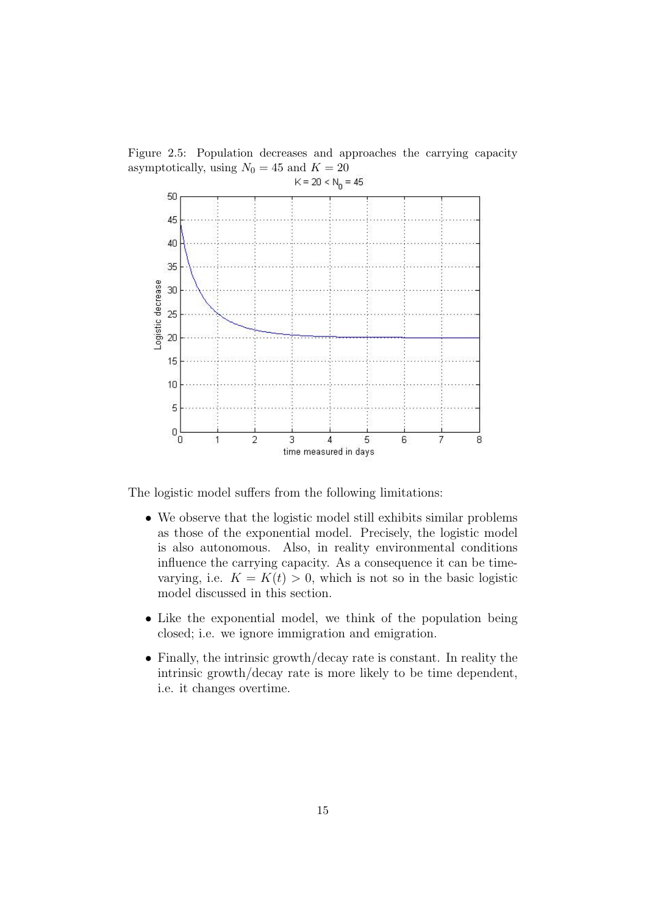Figure 2.5: Population decreases and approaches the carrying capacity asymptotically, using  $N_0 = 45$  and  $K = 20$ 



The logistic model suffers from the following limitations:

- We observe that the logistic model still exhibits similar problems as those of the exponential model. Precisely, the logistic model is also autonomous. Also, in reality environmental conditions influence the carrying capacity. As a consequence it can be timevarying, i.e.  $K = K(t) > 0$ , which is not so in the basic logistic model discussed in this section.
- Like the exponential model, we think of the population being closed; i.e. we ignore immigration and emigration.
- Finally, the intrinsic growth/decay rate is constant. In reality the intrinsic growth/decay rate is more likely to be time dependent, i.e. it changes overtime.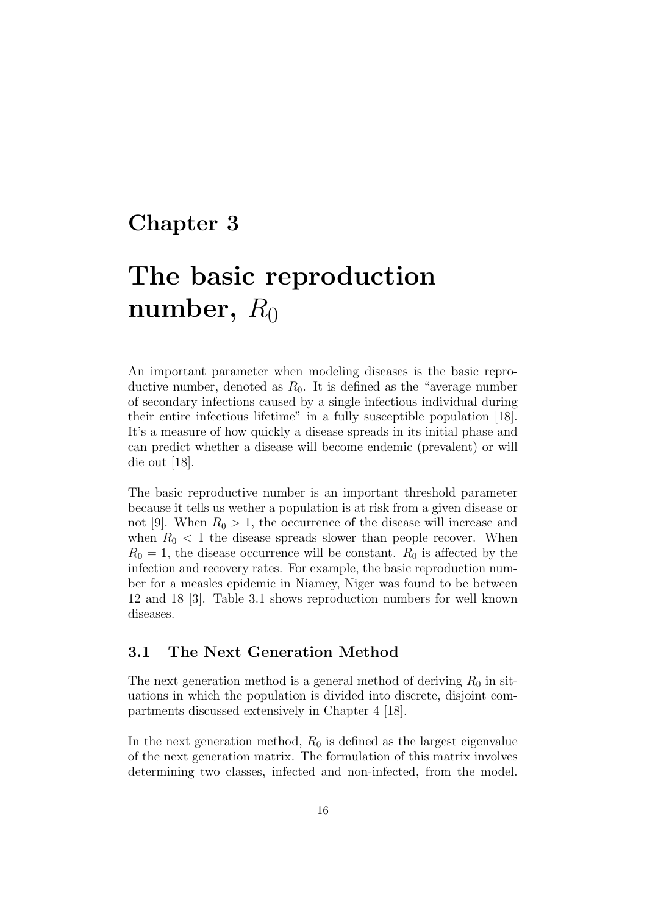# Chapter 3

# The basic reproduction number,  $R_0$

An important parameter when modeling diseases is the basic reproductive number, denoted as  $R_0$ . It is defined as the "average number of secondary infections caused by a single infectious individual during their entire infectious lifetime" in a fully susceptible population [18]. It's a measure of how quickly a disease spreads in its initial phase and can predict whether a disease will become endemic (prevalent) or will die out [18].

The basic reproductive number is an important threshold parameter because it tells us wether a population is at risk from a given disease or not [9]. When  $R_0 > 1$ , the occurrence of the disease will increase and when  $R_0 < 1$  the disease spreads slower than people recover. When  $R_0 = 1$ , the disease occurrence will be constant.  $R_0$  is affected by the infection and recovery rates. For example, the basic reproduction number for a measles epidemic in Niamey, Niger was found to be between 12 and 18 [3]. Table 3.1 shows reproduction numbers for well known diseases.

### 3.1 The Next Generation Method

The next generation method is a general method of deriving  $R_0$  in situations in which the population is divided into discrete, disjoint compartments discussed extensively in Chapter 4 [18].

In the next generation method,  $R_0$  is defined as the largest eigenvalue of the next generation matrix. The formulation of this matrix involves determining two classes, infected and non-infected, from the model.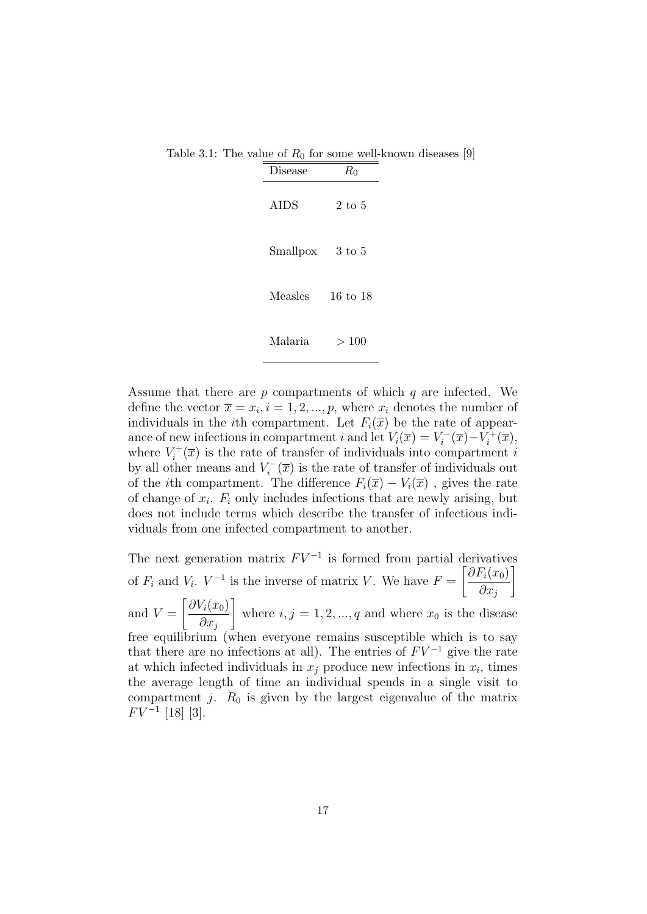|                  |            | $\sim$ 0.1. The value of $I_{0}$ for some well mown disease. |
|------------------|------------|--------------------------------------------------------------|
| Disease          | $R_0$      |                                                              |
| AIDS             | $2$ to $5$ |                                                              |
| Smallpox 3 to 5  |            |                                                              |
| Measles 16 to 18 |            |                                                              |
| Malaria          | >100       |                                                              |

Table 3.1: The value of  $R_0$  for some well-known diseases [9]

Assume that there are p compartments of which q are infected. We define the vector  $\bar{x} = x_i, i = 1, 2, ..., p$ , where  $x_i$  denotes the number of individuals in the *i*th compartment. Let  $F_i(\overline{x})$  be the rate of appearance of new infections in compartment i and let  $V_i(\overline{x}) = V_i^{-1}$  $i^{-}(\overline{x})-V_{i}^{+}$  $i^{+}(\overline{x}),$ where  $V_i^+$  $\chi_i^{\uparrow +}(\overline{x})$  is the rate of transfer of individuals into compartment i by all other means and  $V_i^ \chi_i^-(\overline{x})$  is the rate of transfer of individuals out of the *i*th compartment. The difference  $F_i(\overline{x}) - V_i(\overline{x})$ , gives the rate of change of  $x_i$ .  $F_i$  only includes infections that are newly arising, but does not include terms which describe the transfer of infectious individuals from one infected compartment to another.

The next generation matrix  $F V^{-1}$  is formed from partial derivatives of  $F_i$  and  $V_i$ .  $V^{-1}$  is the inverse of matrix V. We have  $F =$  $\big[ \partial F_i(x_0)$  $\partial x_j$ 1 and  $V =$  $\int \partial V_i(x_0)$  $\partial x_j$ 1 where  $i, j = 1, 2, ..., q$  and where  $x_0$  is the disease free equilibrium (when everyone remains susceptible which is to say that there are no infections at all). The entries of  $F V^{-1}$  give the rate at which infected individuals in  $x_j$  produce new infections in  $x_i$ , times the average length of time an individual spends in a single visit to compartment j.  $R_0$  is given by the largest eigenvalue of the matrix  $FV^{-1}$  [18] [3].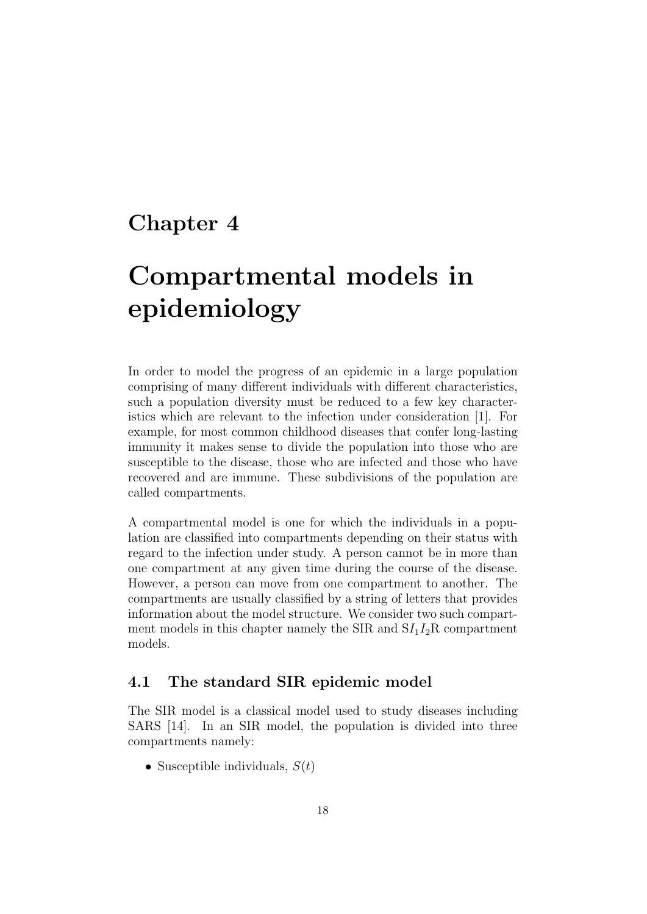# Chapter 4

# Compartmental models in epidemiology

In order to model the progress of an epidemic in a large population comprising of many different individuals with different characteristics, such a population diversity must be reduced to a few key characteristics which are relevant to the infection under consideration [1]. For example, for most common childhood diseases that confer long-lasting immunity it makes sense to divide the population into those who are susceptible to the disease, those who are infected and those who have recovered and are immune. These subdivisions of the population are called compartments.

A compartmental model is one for which the individuals in a population are classified into compartments depending on their status with regard to the infection under study. A person cannot be in more than one compartment at any given time during the course of the disease. However, a person can move from one compartment to another. The compartments are usually classified by a string of letters that provides information about the model structure. We consider two such compartment models in this chapter namely the SIR and  $SI<sub>1</sub>I<sub>2</sub>R$  compartment models.

### 4.1 The standard SIR epidemic model

The SIR model is a classical model used to study diseases including SARS [14]. In an SIR model, the population is divided into three compartments namely:

• Susceptible individuals,  $S(t)$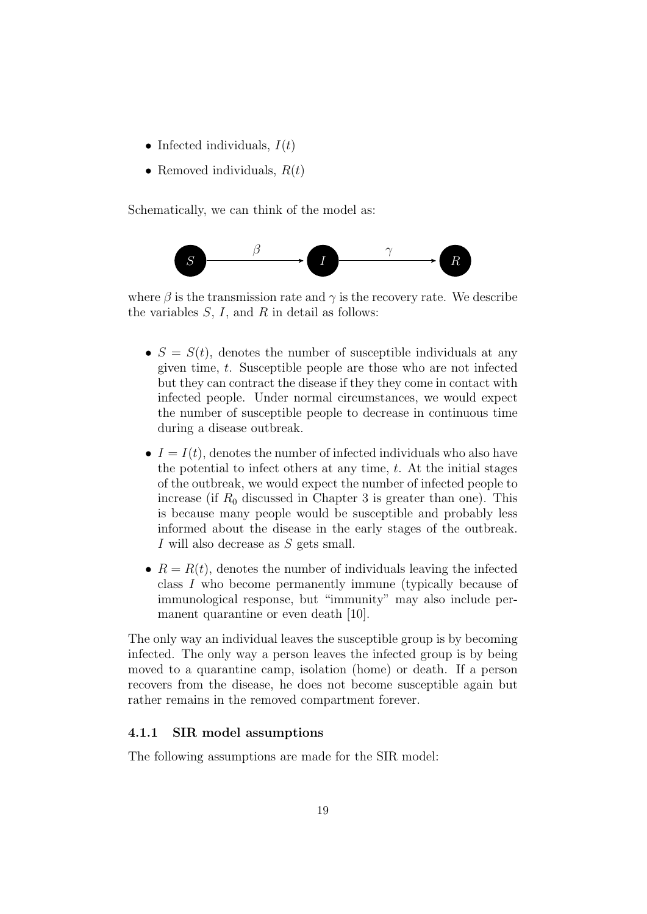- Infected individuals,  $I(t)$
- Removed individuals,  $R(t)$

Schematically, we can think of the model as:



where  $\beta$  is the transmission rate and  $\gamma$  is the recovery rate. We describe the variables  $S, I$ , and  $R$  in detail as follows:

- $S = S(t)$ , denotes the number of susceptible individuals at any given time, t. Susceptible people are those who are not infected but they can contract the disease if they they come in contact with infected people. Under normal circumstances, we would expect the number of susceptible people to decrease in continuous time during a disease outbreak.
- $I = I(t)$ , denotes the number of infected individuals who also have the potential to infect others at any time,  $t$ . At the initial stages of the outbreak, we would expect the number of infected people to increase (if  $R_0$  discussed in Chapter 3 is greater than one). This is because many people would be susceptible and probably less informed about the disease in the early stages of the outbreak. I will also decrease as S gets small.
- $R = R(t)$ , denotes the number of individuals leaving the infected class I who become permanently immune (typically because of immunological response, but "immunity" may also include permanent quarantine or even death [10].

The only way an individual leaves the susceptible group is by becoming infected. The only way a person leaves the infected group is by being moved to a quarantine camp, isolation (home) or death. If a person recovers from the disease, he does not become susceptible again but rather remains in the removed compartment forever.

#### 4.1.1 SIR model assumptions

The following assumptions are made for the SIR model: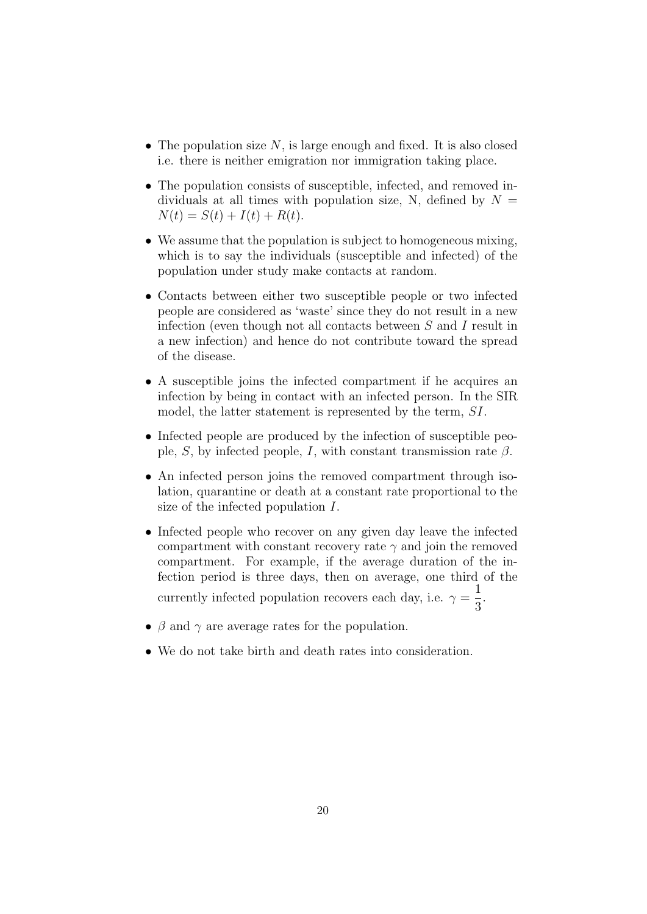- The population size  $N$ , is large enough and fixed. It is also closed i.e. there is neither emigration nor immigration taking place.
- The population consists of susceptible, infected, and removed individuals at all times with population size, N, defined by  $N =$  $N(t) = S(t) + I(t) + R(t).$
- We assume that the population is subject to homogeneous mixing, which is to say the individuals (susceptible and infected) of the population under study make contacts at random.
- Contacts between either two susceptible people or two infected people are considered as 'waste' since they do not result in a new infection (even though not all contacts between S and I result in a new infection) and hence do not contribute toward the spread of the disease.
- A susceptible joins the infected compartment if he acquires an infection by being in contact with an infected person. In the SIR model, the latter statement is represented by the term, SI.
- Infected people are produced by the infection of susceptible people, S, by infected people, I, with constant transmission rate  $\beta$ .
- An infected person joins the removed compartment through isolation, quarantine or death at a constant rate proportional to the size of the infected population I.
- Infected people who recover on any given day leave the infected compartment with constant recovery rate  $\gamma$  and join the removed compartment. For example, if the average duration of the infection period is three days, then on average, one third of the currently infected population recovers each day, i.e.  $\gamma =$ 1 3 .
- $\beta$  and  $\gamma$  are average rates for the population.
- We do not take birth and death rates into consideration.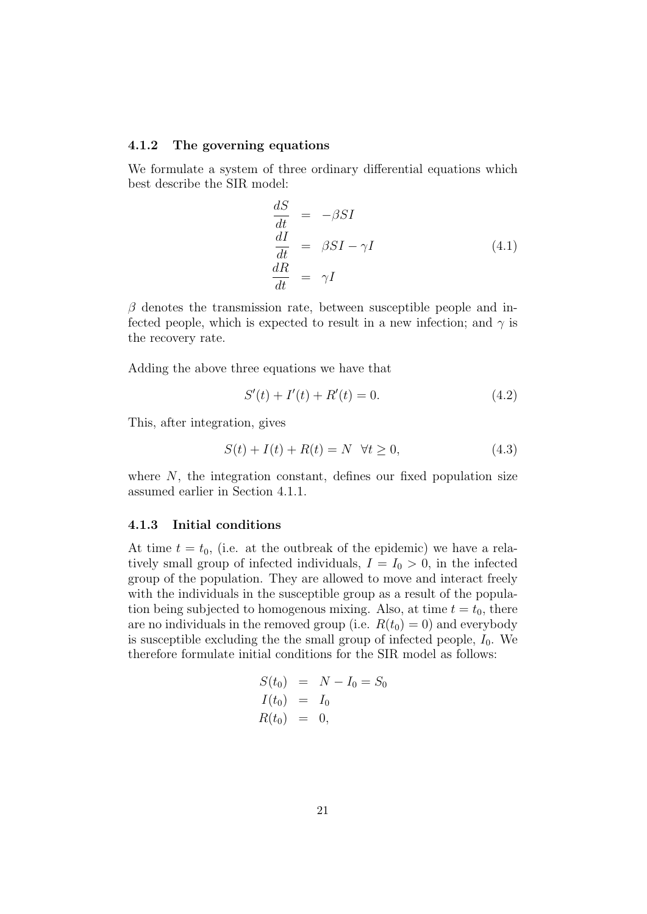#### 4.1.2 The governing equations

We formulate a system of three ordinary differential equations which best describe the SIR model:

$$
\begin{aligned}\n\frac{dS}{dt} &= -\beta SI \\
\frac{dI}{dt} &= \beta SI - \gamma I \\
\frac{dR}{dt} &= \gamma I\n\end{aligned} (4.1)
$$

 $\beta$  denotes the transmission rate, between susceptible people and infected people, which is expected to result in a new infection; and  $\gamma$  is the recovery rate.

Adding the above three equations we have that

$$
S'(t) + I'(t) + R'(t) = 0.
$$
\n(4.2)

This, after integration, gives

$$
S(t) + I(t) + R(t) = N \quad \forall t \ge 0,
$$
\n
$$
(4.3)
$$

where  $N$ , the integration constant, defines our fixed population size assumed earlier in Section 4.1.1.

#### 4.1.3 Initial conditions

At time  $t = t_0$ , (i.e. at the outbreak of the epidemic) we have a relatively small group of infected individuals,  $I = I_0 > 0$ , in the infected group of the population. They are allowed to move and interact freely with the individuals in the susceptible group as a result of the population being subjected to homogenous mixing. Also, at time  $t = t_0$ , there are no individuals in the removed group (i.e.  $R(t_0) = 0$ ) and everybody is susceptible excluding the the small group of infected people,  $I_0$ . We therefore formulate initial conditions for the SIR model as follows:

$$
S(t_0) = N - I_0 = S_0
$$
  
\n
$$
I(t_0) = I_0
$$
  
\n
$$
R(t_0) = 0,
$$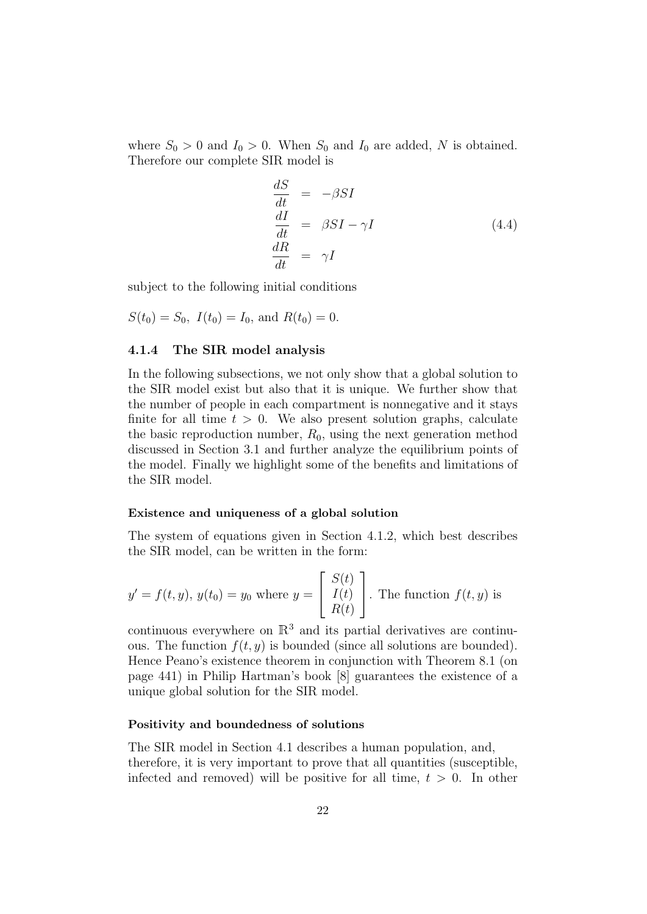where  $S_0 > 0$  and  $I_0 > 0$ . When  $S_0$  and  $I_0$  are added, N is obtained. Therefore our complete SIR model is

$$
\begin{aligned}\n\frac{dS}{dt} &= -\beta SI \\
\frac{dI}{dt} &= \beta SI - \gamma I \\
\frac{dR}{dt} &= \gamma I\n\end{aligned} \tag{4.4}
$$

subject to the following initial conditions

$$
S(t_0) = S_0
$$
,  $I(t_0) = I_0$ , and  $R(t_0) = 0$ .

#### 4.1.4 The SIR model analysis

In the following subsections, we not only show that a global solution to the SIR model exist but also that it is unique. We further show that the number of people in each compartment is nonnegative and it stays finite for all time  $t > 0$ . We also present solution graphs, calculate the basic reproduction number,  $R_0$ , using the next generation method discussed in Section 3.1 and further analyze the equilibrium points of the model. Finally we highlight some of the benefits and limitations of the SIR model.

#### Existence and uniqueness of a global solution

The system of equations given in Section 4.1.2, which best describes the SIR model, can be written in the form:

$$
y' = f(t, y), y(t_0) = y_0
$$
 where  $y = \begin{bmatrix} S(t) \\ I(t) \\ R(t) \end{bmatrix}$ . The function  $f(t, y)$  is

continuous everywhere on  $\mathbb{R}^3$  and its partial derivatives are continuous. The function  $f(t, y)$  is bounded (since all solutions are bounded). Hence Peano's existence theorem in conjunction with Theorem 8.1 (on page 441) in Philip Hartman's book [8] guarantees the existence of a unique global solution for the SIR model.

#### Positivity and boundedness of solutions

The SIR model in Section 4.1 describes a human population, and, therefore, it is very important to prove that all quantities (susceptible, infected and removed) will be positive for all time,  $t > 0$ . In other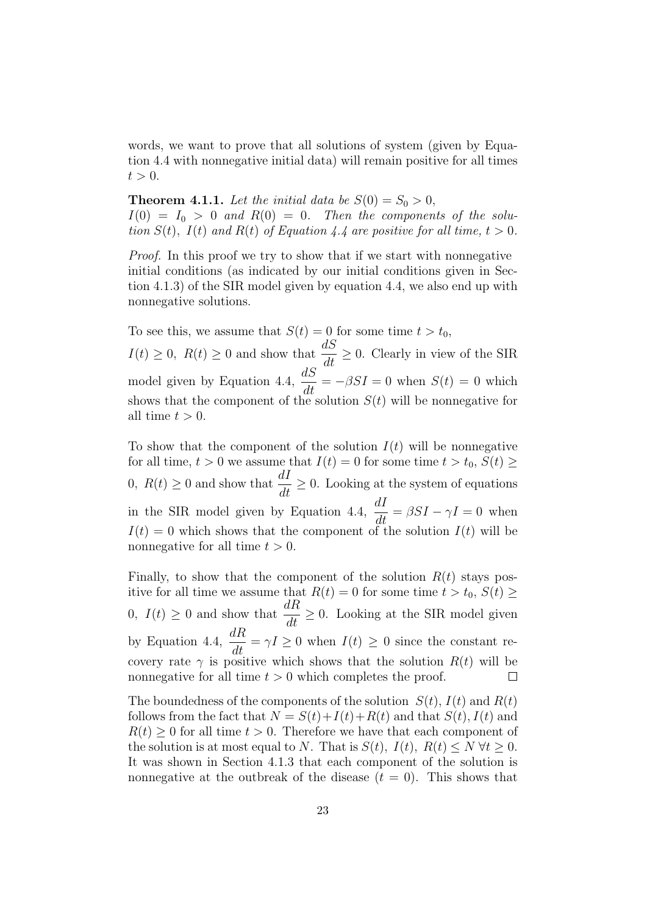words, we want to prove that all solutions of system (given by Equation 4.4 with nonnegative initial data) will remain positive for all times  $t > 0$ .

**Theorem 4.1.1.** Let the initial data be  $S(0) = S_0 > 0$ ,  $I(0) = I_0 > 0$  and  $R(0) = 0$ . Then the components of the solution  $S(t)$ ,  $I(t)$  and  $R(t)$  of Equation 4.4 are positive for all time,  $t > 0$ .

Proof. In this proof we try to show that if we start with nonnegative initial conditions (as indicated by our initial conditions given in Section 4.1.3) of the SIR model given by equation 4.4, we also end up with nonnegative solutions.

To see this, we assume that  $S(t) = 0$  for some time  $t > t_0$ ,  $I(t) \geq 0$ ,  $R(t) \geq 0$  and show that  $\frac{dS}{dt} \geq 0$ . Clearly in view of the SIR model given by Equation 4.4,  $\frac{dS}{dt} = -\beta SI = 0$  when  $S(t) = 0$  which shows that the component of the solution  $S(t)$  will be nonnegative for all time  $t > 0$ .

To show that the component of the solution  $I(t)$  will be nonnegative for all time,  $t > 0$  we assume that  $I(t) = 0$  for some time  $t > t_0$ ,  $S(t) \geq$ 0,  $R(t) \geq 0$  and show that  $\frac{dI}{dt} \geq 0$ . Looking at the system of equations in the SIR model given by Equation 4.4,  $\frac{dI}{dt} = \beta SI - \gamma I = 0$  when  $I(t) = 0$  which shows that the component of the solution  $I(t)$  will be nonnegative for all time  $t > 0$ .

Finally, to show that the component of the solution  $R(t)$  stays positive for all time we assume that  $R(t) = 0$  for some time  $t > t_0$ ,  $S(t) \geq$ 0,  $I(t) \geq 0$  and show that  $\frac{dR}{dt} \geq 0$ . Looking at the SIR model given by Equation 4.4,  $\frac{dR}{dt} = \gamma I \geq 0$  when  $I(t) \geq 0$  since the constant recovery rate  $\gamma$  is positive which shows that the solution  $R(t)$  will be nonnegative for all time  $t > 0$  which completes the proof.  $\Box$ 

The boundedness of the components of the solution  $S(t)$ ,  $I(t)$  and  $R(t)$ follows from the fact that  $N = S(t)+I(t)+R(t)$  and that  $S(t)$ ,  $I(t)$  and  $R(t) \geq 0$  for all time  $t > 0$ . Therefore we have that each component of the solution is at most equal to N. That is  $S(t)$ ,  $I(t)$ ,  $R(t) \le N \forall t \ge 0$ . It was shown in Section 4.1.3 that each component of the solution is nonnegative at the outbreak of the disease  $(t = 0)$ . This shows that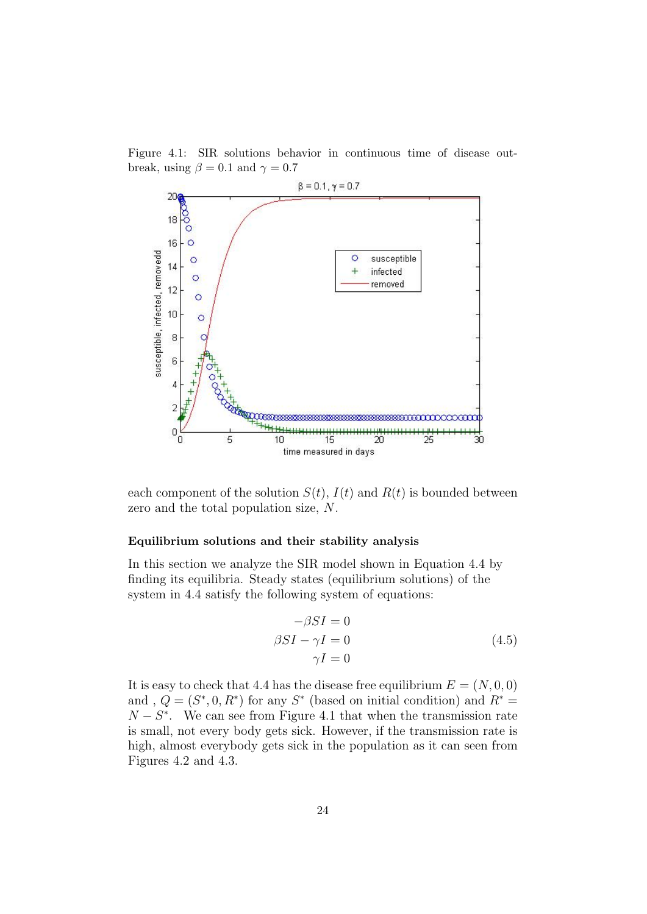Figure 4.1: SIR solutions behavior in continuous time of disease outbreak, using  $\beta = 0.1$  and  $\gamma = 0.7$ 



each component of the solution  $S(t)$ ,  $I(t)$  and  $R(t)$  is bounded between zero and the total population size, N.

#### Equilibrium solutions and their stability analysis

In this section we analyze the SIR model shown in Equation 4.4 by finding its equilibria. Steady states (equilibrium solutions) of the system in 4.4 satisfy the following system of equations:

$$
-\beta SI = 0
$$
  
\n
$$
\beta SI - \gamma I = 0
$$
  
\n
$$
\gamma I = 0
$$
\n(4.5)

It is easy to check that 4.4 has the disease free equilibrium  $E = (N, 0, 0)$ and,  $Q = (S^*, 0, R^*)$  for any  $S^*$  (based on initial condition) and  $R^*$  $N - S^*$ . We can see from Figure 4.1 that when the transmission rate is small, not every body gets sick. However, if the transmission rate is high, almost everybody gets sick in the population as it can seen from Figures 4.2 and 4.3.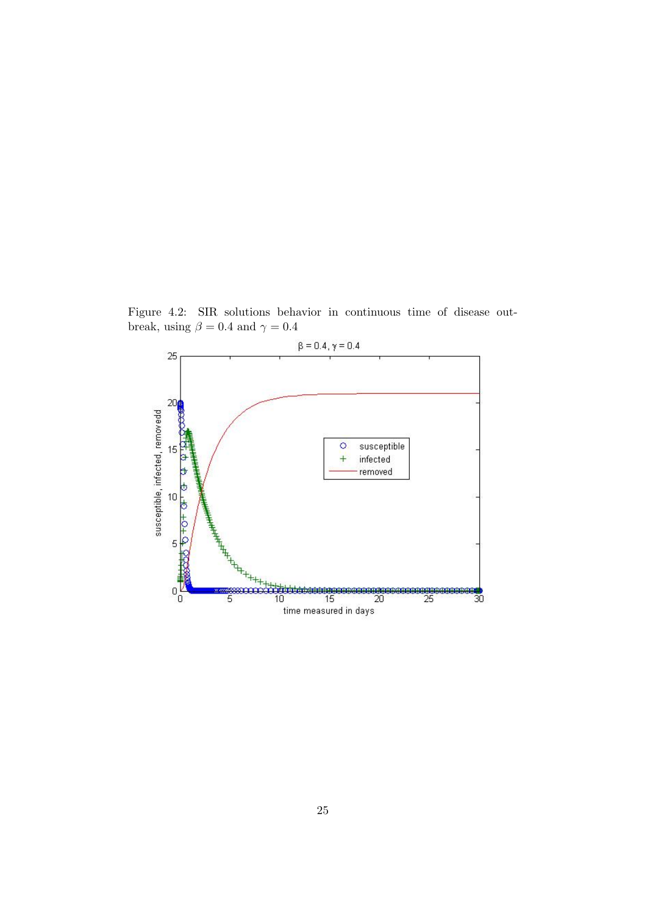Figure 4.2: SIR solutions behavior in continuous time of disease outbreak, using  $\beta = 0.4$  and  $\gamma = 0.4$ 

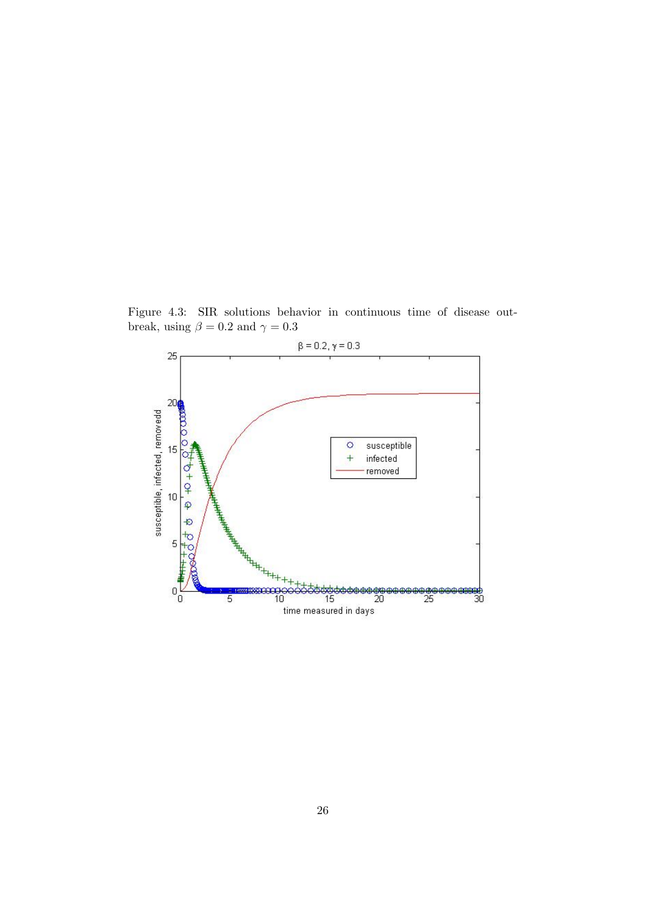Figure 4.3: SIR solutions behavior in continuous time of disease outbreak, using  $\beta = 0.2$  and  $\gamma = 0.3$ 

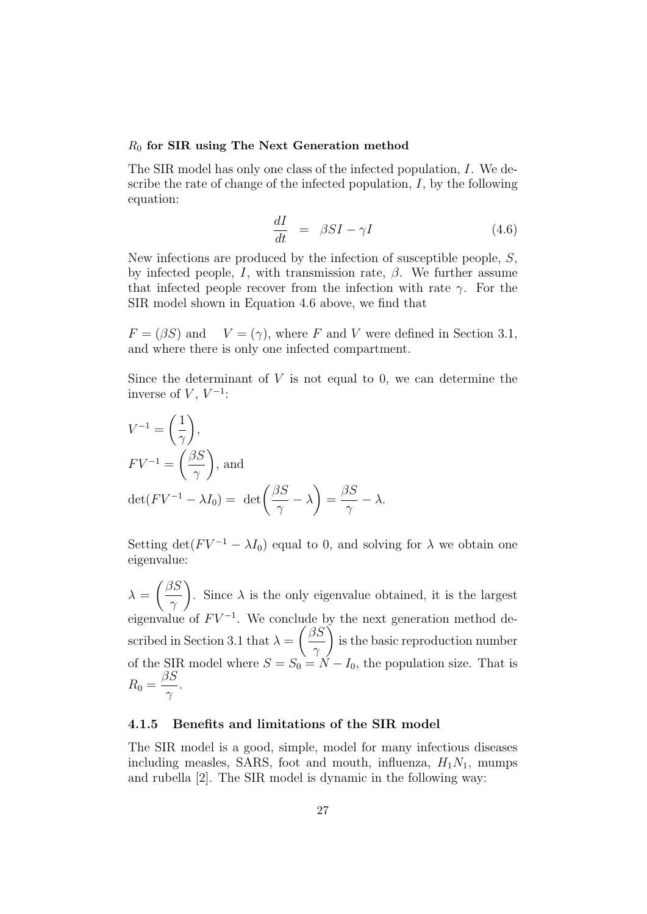#### $R_0$  for SIR using The Next Generation method

The SIR model has only one class of the infected population, I. We describe the rate of change of the infected population,  $I$ , by the following equation:

$$
\frac{dI}{dt} = \beta SI - \gamma I \tag{4.6}
$$

New infections are produced by the infection of susceptible people, S, by infected people, I, with transmission rate,  $\beta$ . We further assume that infected people recover from the infection with rate  $\gamma$ . For the SIR model shown in Equation 4.6 above, we find that

 $F = (\beta S)$  and  $V = (\gamma)$ , where F and V were defined in Section 3.1, and where there is only one infected compartment.

Since the determinant of  $V$  is not equal to 0, we can determine the inverse of  $V, V^{-1}$ :

$$
V^{-1} = \left(\frac{1}{\gamma}\right),
$$
  
\n
$$
FV^{-1} = \left(\frac{\beta S}{\gamma}\right), \text{ and}
$$
  
\n
$$
\det(FV^{-1} - \lambda I_0) = \det\left(\frac{\beta S}{\gamma} - \lambda\right) = \frac{\beta S}{\gamma} - \lambda.
$$

Setting det( $F V^{-1} - \lambda I_0$ ) equal to 0, and solving for  $\lambda$  we obtain one eigenvalue:

 $\lambda =$  $\int$   $\beta S$  $\gamma$  $\setminus$ . Since  $\lambda$  is the only eigenvalue obtained, it is the largest eigenvalue of  $F V^{-1}$ . We conclude by the next generation method described in Section 3.1 that  $\lambda =$  $\int$   $\beta S$  $\gamma$  $\setminus$ is the basic reproduction number of the SIR model where  $S = S_0 = N - I_0$ , the population size. That is  $R_0 =$  $\beta S$  $\gamma$ .

#### 4.1.5 Benefits and limitations of the SIR model

The SIR model is a good, simple, model for many infectious diseases including measles, SARS, foot and mouth, influenza,  $H_1N_1$ , mumps and rubella [2]. The SIR model is dynamic in the following way: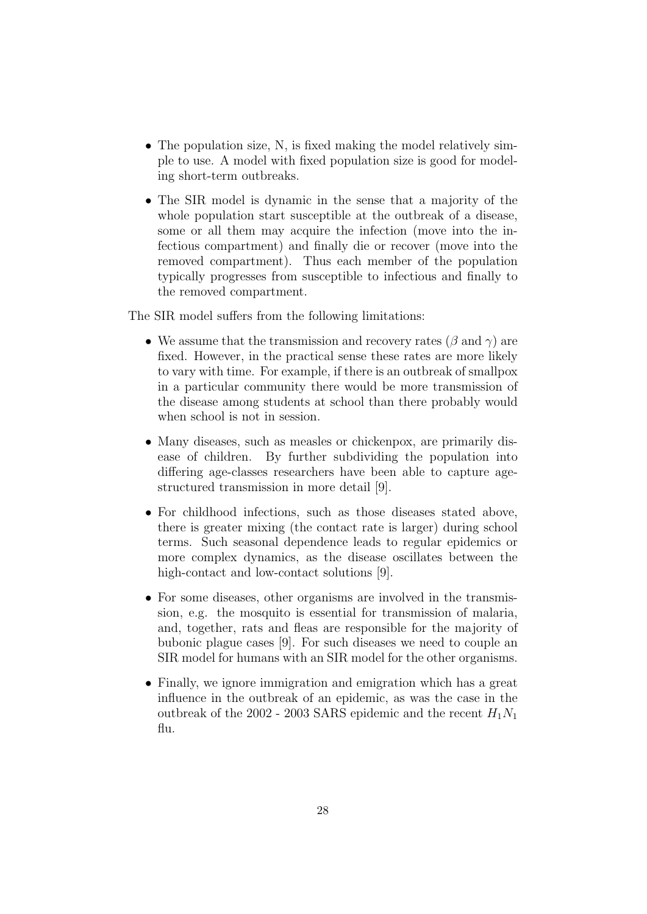- The population size, N, is fixed making the model relatively simple to use. A model with fixed population size is good for modeling short-term outbreaks.
- The SIR model is dynamic in the sense that a majority of the whole population start susceptible at the outbreak of a disease, some or all them may acquire the infection (move into the infectious compartment) and finally die or recover (move into the removed compartment). Thus each member of the population typically progresses from susceptible to infectious and finally to the removed compartment.

The SIR model suffers from the following limitations:

- We assume that the transmission and recovery rates ( $\beta$  and  $\gamma$ ) are fixed. However, in the practical sense these rates are more likely to vary with time. For example, if there is an outbreak of smallpox in a particular community there would be more transmission of the disease among students at school than there probably would when school is not in session.
- Many diseases, such as measles or chickenpox, are primarily disease of children. By further subdividing the population into differing age-classes researchers have been able to capture agestructured transmission in more detail [9].
- For childhood infections, such as those diseases stated above, there is greater mixing (the contact rate is larger) during school terms. Such seasonal dependence leads to regular epidemics or more complex dynamics, as the disease oscillates between the high-contact and low-contact solutions [9].
- For some diseases, other organisms are involved in the transmission, e.g. the mosquito is essential for transmission of malaria, and, together, rats and fleas are responsible for the majority of bubonic plague cases [9]. For such diseases we need to couple an SIR model for humans with an SIR model for the other organisms.
- Finally, we ignore immigration and emigration which has a great influence in the outbreak of an epidemic, as was the case in the outbreak of the 2002 - 2003 SARS epidemic and the recent  $H_1N_1$ flu.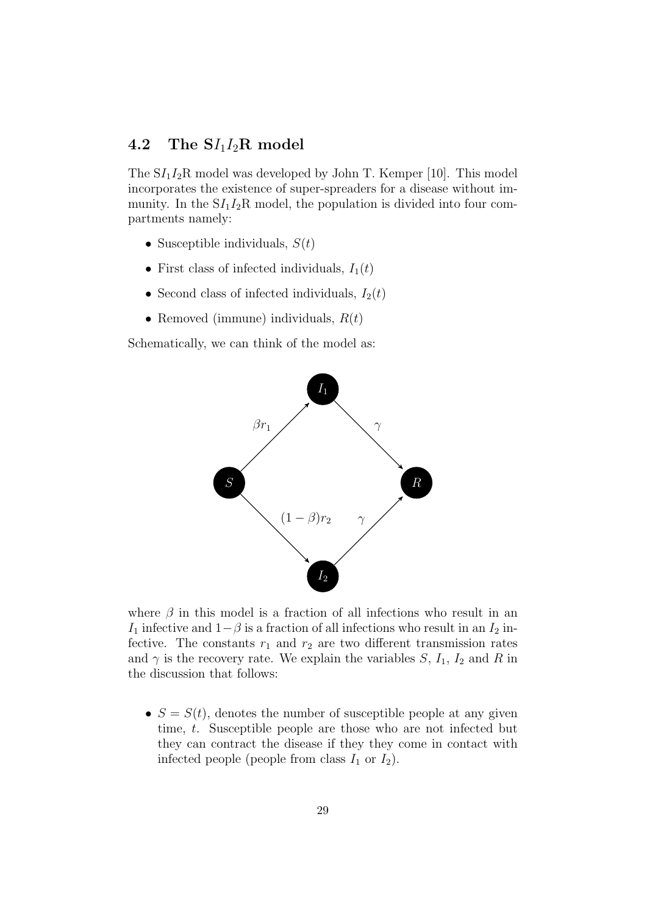### 4.2 The  $S/I_1I_2R$  model

The  $SI_1I_2R$  model was developed by John T. Kemper [10]. This model incorporates the existence of super-spreaders for a disease without immunity. In the  $SI_1I_2R$  model, the population is divided into four compartments namely:

- Susceptible individuals,  $S(t)$
- First class of infected individuals,  $I_1(t)$
- Second class of infected individuals,  $I_2(t)$
- Removed (immune) individuals,  $R(t)$

Schematically, we can think of the model as:



where  $\beta$  in this model is a fraction of all infections who result in an I<sub>1</sub> infective and  $1-\beta$  is a fraction of all infections who result in an I<sub>2</sub> infective. The constants  $r_1$  and  $r_2$  are two different transmission rates and  $\gamma$  is the recovery rate. We explain the variables S,  $I_1$ ,  $I_2$  and R in the discussion that follows:

•  $S = S(t)$ , denotes the number of susceptible people at any given time, t. Susceptible people are those who are not infected but they can contract the disease if they they come in contact with infected people (people from class  $I_1$  or  $I_2$ ).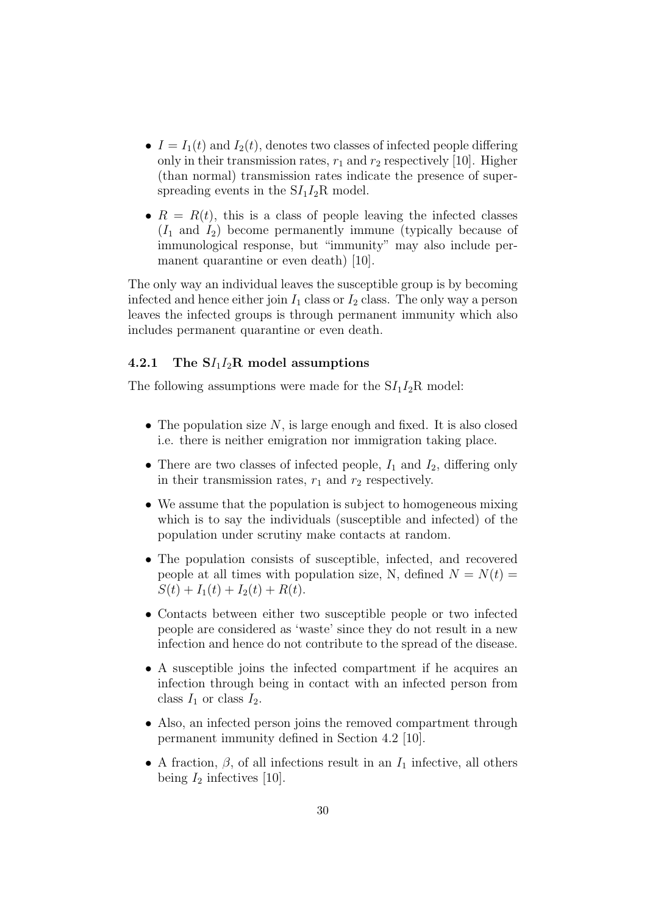- $I = I_1(t)$  and  $I_2(t)$ , denotes two classes of infected people differing only in their transmission rates,  $r_1$  and  $r_2$  respectively [10]. Higher (than normal) transmission rates indicate the presence of superspreading events in the  $SI_1I_2R$  model.
- $R = R(t)$ , this is a class of people leaving the infected classes  $(I_1 \text{ and } I_2)$  become permanently immune (typically because of immunological response, but "immunity" may also include permanent quarantine or even death) [10].

The only way an individual leaves the susceptible group is by becoming infected and hence either join  $I_1$  class or  $I_2$  class. The only way a person leaves the infected groups is through permanent immunity which also includes permanent quarantine or even death.

#### 4.2.1 The  $SI<sub>1</sub>I<sub>2</sub>R$  model assumptions

The following assumptions were made for the  $SI_1I_2R$  model:

- The population size  $N$ , is large enough and fixed. It is also closed i.e. there is neither emigration nor immigration taking place.
- There are two classes of infected people,  $I_1$  and  $I_2$ , differing only in their transmission rates,  $r_1$  and  $r_2$  respectively.
- We assume that the population is subject to homogeneous mixing which is to say the individuals (susceptible and infected) of the population under scrutiny make contacts at random.
- The population consists of susceptible, infected, and recovered people at all times with population size, N, defined  $N = N(t)$  $S(t) + I_1(t) + I_2(t) + R(t).$
- Contacts between either two susceptible people or two infected people are considered as 'waste' since they do not result in a new infection and hence do not contribute to the spread of the disease.
- A susceptible joins the infected compartment if he acquires an infection through being in contact with an infected person from class  $I_1$  or class  $I_2$ .
- Also, an infected person joins the removed compartment through permanent immunity defined in Section 4.2 [10].
- A fraction,  $\beta$ , of all infections result in an  $I_1$  infective, all others being  $I_2$  infectives [10].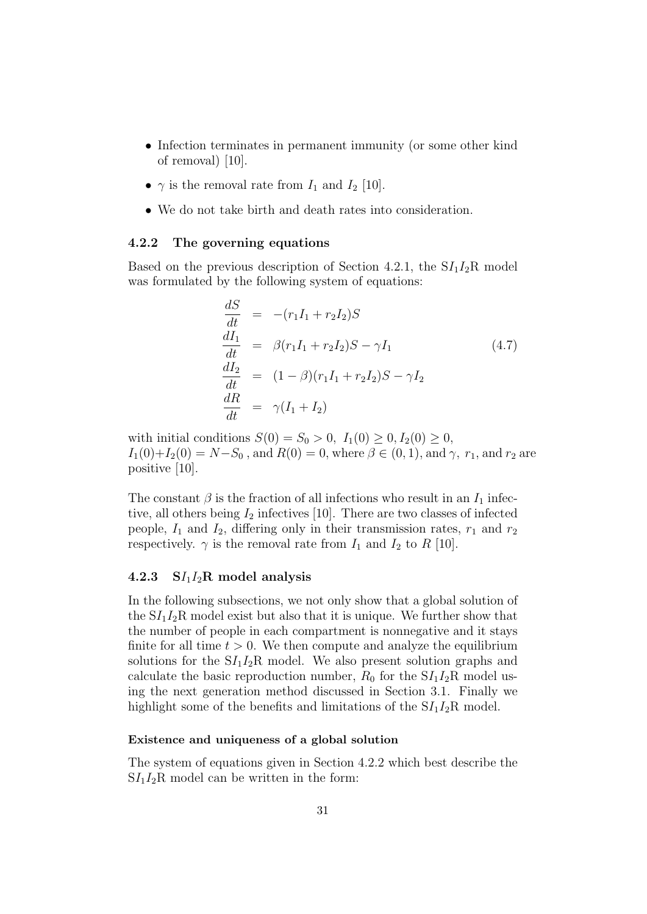- Infection terminates in permanent immunity (or some other kind of removal) [10].
- $\gamma$  is the removal rate from  $I_1$  and  $I_2$  [10].
- We do not take birth and death rates into consideration.

#### 4.2.2 The governing equations

Based on the previous description of Section 4.2.1, the  $SI_1I_2R$  model was formulated by the following system of equations:

$$
\begin{aligned}\n\frac{dS}{dt} &= -(r_1I_1 + r_2I_2)S \\
\frac{dI_1}{dt} &= \beta(r_1I_1 + r_2I_2)S - \gamma I_1 \\
\frac{dI_2}{dt} &= (1 - \beta)(r_1I_1 + r_2I_2)S - \gamma I_2 \\
\frac{dR}{dt} &= \gamma(I_1 + I_2)\n\end{aligned} \tag{4.7}
$$

with initial conditions  $S(0) = S_0 > 0$ ,  $I_1(0) \ge 0$ ,  $I_2(0) \ge 0$ ,  $I_1(0)+I_2(0) = N-S_0$ , and  $R(0) = 0$ , where  $\beta \in (0,1)$ , and  $\gamma$ ,  $r_1$ , and  $r_2$  are positive [10].

The constant  $\beta$  is the fraction of all infections who result in an  $I_1$  infective, all others being  $I_2$  infectives [10]. There are two classes of infected people,  $I_1$  and  $I_2$ , differing only in their transmission rates,  $r_1$  and  $r_2$ respectively.  $\gamma$  is the removal rate from  $I_1$  and  $I_2$  to R [10].

#### 4.2.3  $SI_1I_2R$  model analysis

In the following subsections, we not only show that a global solution of the  $SI_1I_2R$  model exist but also that it is unique. We further show that the number of people in each compartment is nonnegative and it stays finite for all time  $t > 0$ . We then compute and analyze the equilibrium solutions for the  $SI_1I_2R$  model. We also present solution graphs and calculate the basic reproduction number,  $R_0$  for the  $SI_1I_2R$  model using the next generation method discussed in Section 3.1. Finally we highlight some of the benefits and limitations of the  $SI_1I_2R$  model.

#### Existence and uniqueness of a global solution

The system of equations given in Section 4.2.2 which best describe the  $SI<sub>1</sub>I<sub>2</sub>R$  model can be written in the form: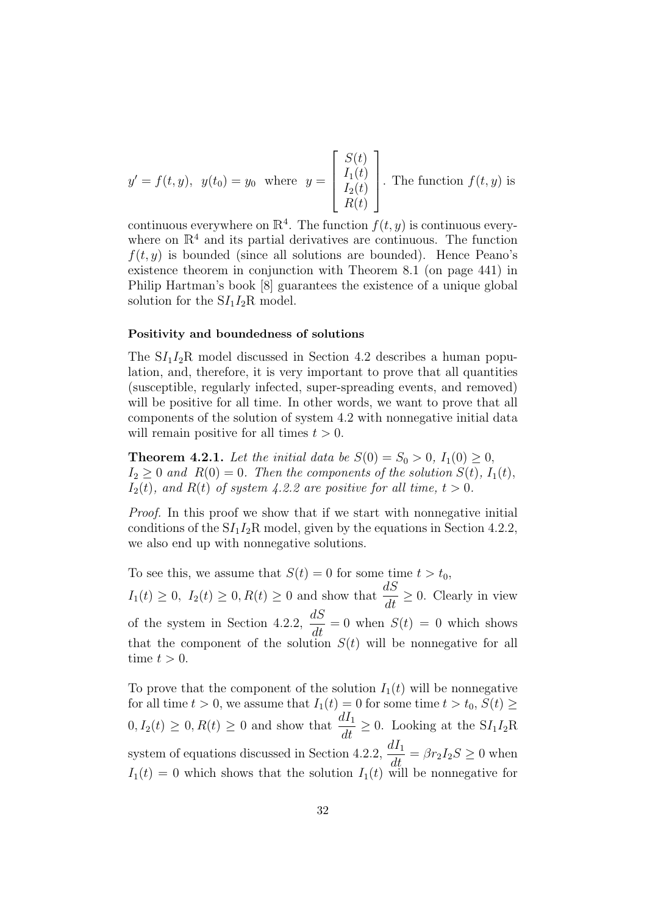$$
y' = f(t, y), \ y(t_0) = y_0 \text{ where } y = \begin{bmatrix} S(t) \\ I_1(t) \\ I_2(t) \\ R(t) \end{bmatrix}. \text{ The function } f(t, y) \text{ is}
$$

continuous everywhere on  $\mathbb{R}^4$ . The function  $f(t, y)$  is continuous everywhere on  $\mathbb{R}^4$  and its partial derivatives are continuous. The function  $f(t, y)$  is bounded (since all solutions are bounded). Hence Peano's existence theorem in conjunction with Theorem 8.1 (on page 441) in Philip Hartman's book [8] guarantees the existence of a unique global solution for the  $SI_1I_2R$  model.

#### Positivity and boundedness of solutions

The  $SI_1I_2R$  model discussed in Section 4.2 describes a human population, and, therefore, it is very important to prove that all quantities (susceptible, regularly infected, super-spreading events, and removed) will be positive for all time. In other words, we want to prove that all components of the solution of system 4.2 with nonnegative initial data will remain positive for all times  $t > 0$ .

**Theorem 4.2.1.** Let the initial data be  $S(0) = S_0 > 0$ ,  $I_1(0) \ge 0$ ,  $I_2 \geq 0$  and  $R(0) = 0$ . Then the components of the solution  $S(t)$ ,  $I_1(t)$ ,  $I_2(t)$ , and  $R(t)$  of system 4.2.2 are positive for all time,  $t > 0$ .

Proof. In this proof we show that if we start with nonnegative initial conditions of the  $SI_1I_2R$  model, given by the equations in Section 4.2.2, we also end up with nonnegative solutions.

To see this, we assume that  $S(t) = 0$  for some time  $t > t_0$ ,  $I_1(t) \geq 0$ ,  $I_2(t) \geq 0$ ,  $R(t) \geq 0$  and show that  $\frac{dS}{dt} \geq 0$ . Clearly in view of the system in Section 4.2.2,  $\frac{dS}{dt}$  $\frac{dS}{dt} = 0$  when  $S(t) = 0$  which shows that the component of the solution  $S(t)$  will be nonnegative for all time  $t > 0$ .

To prove that the component of the solution  $I_1(t)$  will be nonnegative for all time  $t > 0$ , we assume that  $I_1(t) = 0$  for some time  $t > t_0$ ,  $S(t) \geq$  $0, I_2(t) \geq 0, R(t) \geq 0$  and show that  $\frac{dI_1}{dt} \geq 0$ . Looking at the  $SI_1I_2R$ system of equations discussed in Section 4.2.2,  $\frac{dI_1}{dt} = \beta r_2 I_2 S \ge 0$  when  $I_1(t) = 0$  which shows that the solution  $I_1(t)$  will be nonnegative for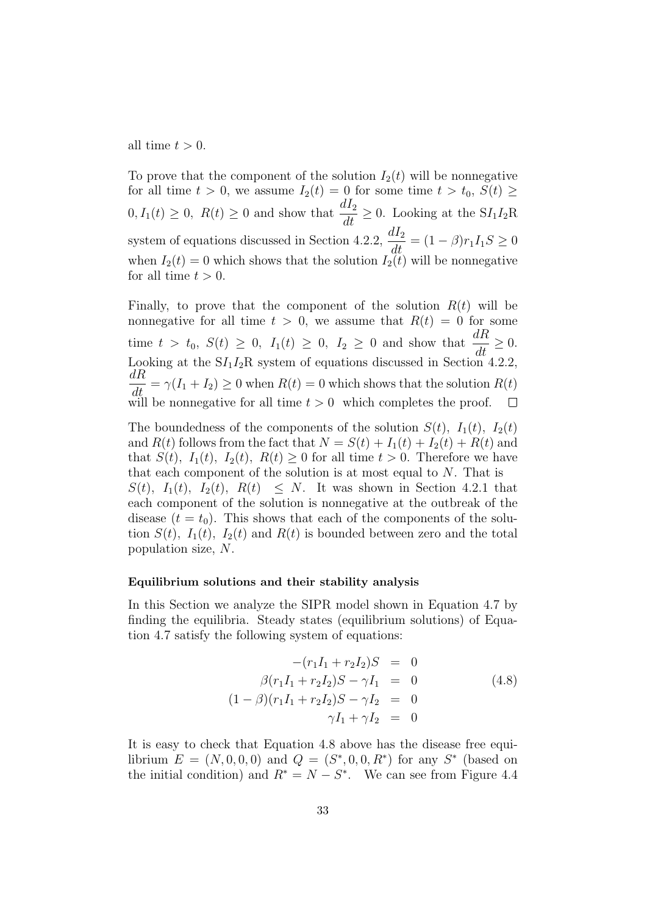all time  $t > 0$ .

To prove that the component of the solution  $I_2(t)$  will be nonnegative for all time  $t > 0$ , we assume  $I_2(t) = 0$  for some time  $t > t_0$ ,  $S(t) \geq$  $0, I_1(t) \geq 0$ ,  $R(t) \geq 0$  and show that  $\frac{dI_2}{dt} \geq 0$ . Looking at the  $SI_1I_2R$ system of equations discussed in Section 4.2.2,  $\frac{dI_2}{dt} = (1 - \beta)r_1I_1S \ge 0$ when  $I_2(t) = 0$  which shows that the solution  $I_2(t)$  will be nonnegative for all time  $t > 0$ .

Finally, to prove that the component of the solution  $R(t)$  will be nonnegative for all time  $t > 0$ , we assume that  $R(t) = 0$  for some time  $t > t_0$ ,  $S(t) \geq 0$ ,  $I_1(t) \geq 0$ ,  $I_2 \geq 0$  and show that  $\frac{dR}{dt} \geq 0$ . Looking at the  $SI_1I_2R$  system of equations discussed in Section 4.2.2,  $\frac{dR}{dt} = \gamma(I_1 + I_2) \geq 0$  when  $R(t) = 0$  which shows that the solution  $R(t)$ will be nonnegative for all time  $t > 0$  which completes the proof.

The boundedness of the components of the solution  $S(t)$ ,  $I_1(t)$ ,  $I_2(t)$ and  $R(t)$  follows from the fact that  $N = S(t) + I_1(t) + I_2(t) + R(t)$  and that  $S(t)$ ,  $I_1(t)$ ,  $I_2(t)$ ,  $R(t) \geq 0$  for all time  $t > 0$ . Therefore we have that each component of the solution is at most equal to N. That is  $S(t)$ ,  $I_1(t)$ ,  $I_2(t)$ ,  $R(t) \leq N$ . It was shown in Section 4.2.1 that each component of the solution is nonnegative at the outbreak of the disease  $(t = t_0)$ . This shows that each of the components of the solution  $S(t)$ ,  $I_1(t)$ ,  $I_2(t)$  and  $R(t)$  is bounded between zero and the total population size, N.

#### Equilibrium solutions and their stability analysis

In this Section we analyze the SIPR model shown in Equation 4.7 by finding the equilibria. Steady states (equilibrium solutions) of Equation 4.7 satisfy the following system of equations:

$$
-(r_1I_1 + r_2I_2)S = 0
$$
  
\n
$$
\beta(r_1I_1 + r_2I_2)S - \gamma I_1 = 0
$$
  
\n
$$
(1 - \beta)(r_1I_1 + r_2I_2)S - \gamma I_2 = 0
$$
  
\n
$$
\gamma I_1 + \gamma I_2 = 0
$$
\n(4.8)

It is easy to check that Equation 4.8 above has the disease free equilibrium  $E = (N, 0, 0, 0)$  and  $Q = (S^*, 0, 0, R^*)$  for any  $S^*$  (based on the initial condition) and  $R^* = N - S^*$ . We can see from Figure 4.4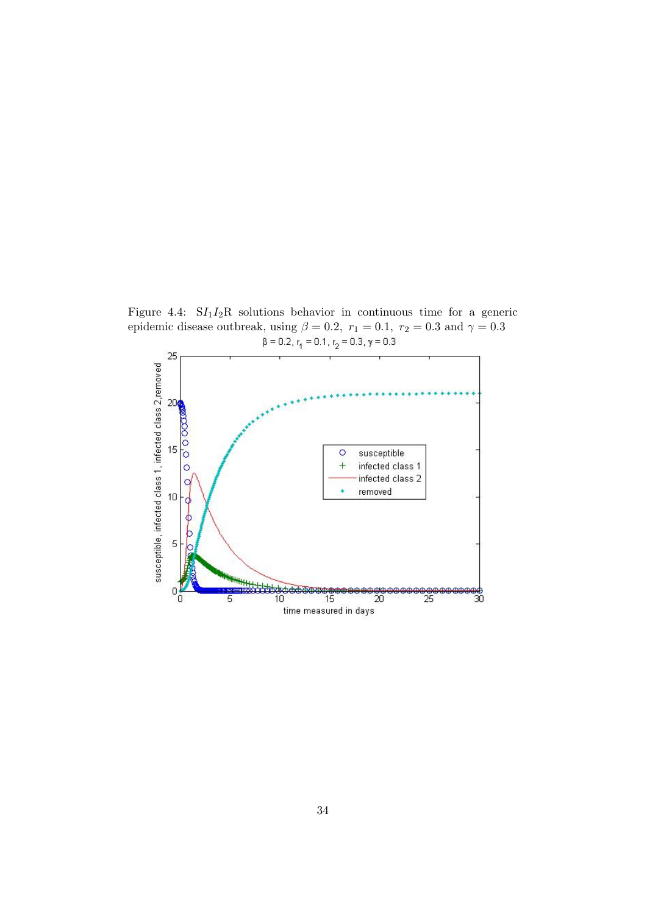Figure 4.4:  $SI_1I_2R$  solutions behavior in continuous time for a generic epidemic disease outbreak, using  $\beta = 0.2$ ,  $r_1 = 0.1$ ,  $r_2 = 0.3$  and  $\gamma = 0.3$ <br> $\beta = 0.2$ ,  $r_1 = 0.1$ ,  $r_2 = 0.3$ ,  $\gamma = 0.3$ 

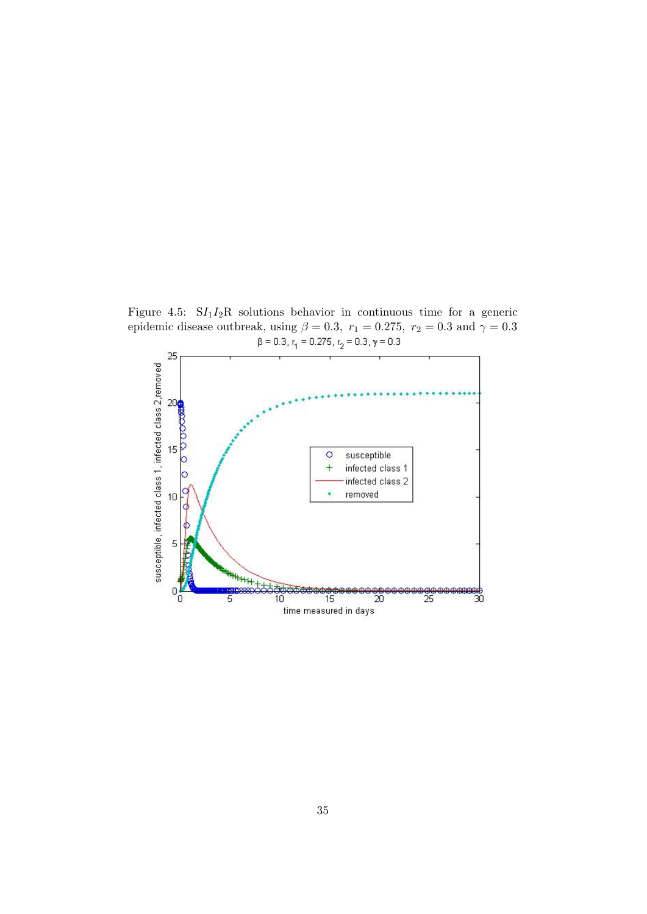Figure 4.5:  $SI_1I_2R$  solutions behavior in continuous time for a generic epidemic disease outbreak, using  $\beta = 0.3$ ,  $r_1 = 0.275$ ,  $r_2 = 0.3$  and  $\gamma = 0.3$ <br> $\beta = 0.3$ ,  $r_1 = 0.275$ ,  $r_2 = 0.3$ ,  $\gamma = 0.3$ 

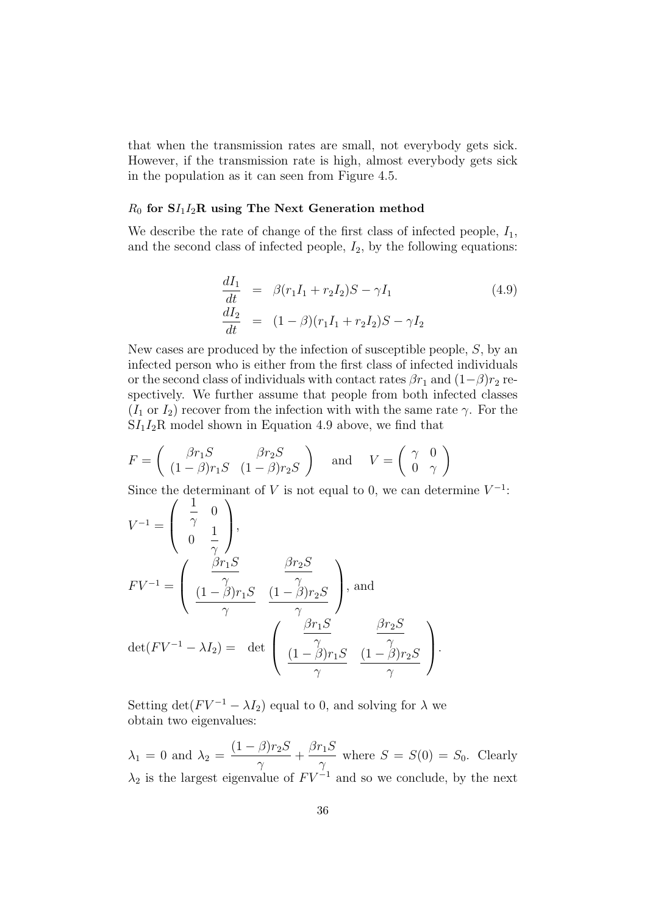that when the transmission rates are small, not everybody gets sick. However, if the transmission rate is high, almost everybody gets sick in the population as it can seen from Figure 4.5.

#### $R_0$  for  $\mathbf{S}I_1I_2\mathbf{R}$  using The Next Generation method

We describe the rate of change of the first class of infected people,  $I_1$ , and the second class of infected people,  $I_2$ , by the following equations:

$$
\frac{dI_1}{dt} = \beta (r_1 I_1 + r_2 I_2) S - \gamma I_1
$$
\n
$$
\frac{dI_2}{dt} = (1 - \beta)(r_1 I_1 + r_2 I_2) S - \gamma I_2
$$
\n(4.9)

New cases are produced by the infection of susceptible people, S, by an infected person who is either from the first class of infected individuals or the second class of individuals with contact rates  $\beta r_1$  and  $(1-\beta)r_2$  respectively. We further assume that people from both infected classes  $(I_1 \text{ or } I_2)$  recover from the infection with with the same rate  $\gamma$ . For the  $SI_1I_2R$  model shown in Equation 4.9 above, we find that

$$
F = \begin{pmatrix} \beta r_1 S & \beta r_2 S \\ (1 - \beta) r_1 S & (1 - \beta) r_2 S \end{pmatrix} \text{ and } V = \begin{pmatrix} \gamma & 0 \\ 0 & \gamma \end{pmatrix}
$$

Since the determinant of V is not equal to 0, we can determine  $V^{-1}$ :

$$
V^{-1} = \begin{pmatrix} \frac{1}{\gamma} & 0 \\ 0 & \frac{1}{\gamma} \end{pmatrix},
$$
  
\n
$$
FV^{-1} = \begin{pmatrix} \frac{\beta r_1 S}{\gamma} & \frac{\beta r_2 S}{\gamma} \\ \frac{(1 - \beta)r_1 S}{\gamma} & \frac{(1 - \beta)r_2 S}{\gamma} \end{pmatrix}, \text{ and}
$$
  
\n
$$
\det(FV^{-1} - \lambda I_2) = \det \begin{pmatrix} \frac{\beta r_1 S}{\gamma} & \frac{\beta r_2 S}{\gamma} \\ \frac{(1 - \beta)r_1 S}{\gamma} & \frac{(1 - \beta)r_2 S}{\gamma} \end{pmatrix}.
$$

Setting det( $F V^{-1} - \lambda I_2$ ) equal to 0, and solving for  $\lambda$  we obtain two eigenvalues:

 $\lambda_1 = 0$  and  $\lambda_2 =$  $(1 - \beta)r_2S$  $\gamma$  $+\frac{\beta r_1 S}{r_1}$  $\frac{\gamma_1 \nu}{\gamma}$  where  $S = S(0) = S_0$ . Clearly  $\lambda_2$  is the largest eigenvalue of  $F V^{-1}$  and so we conclude, by the next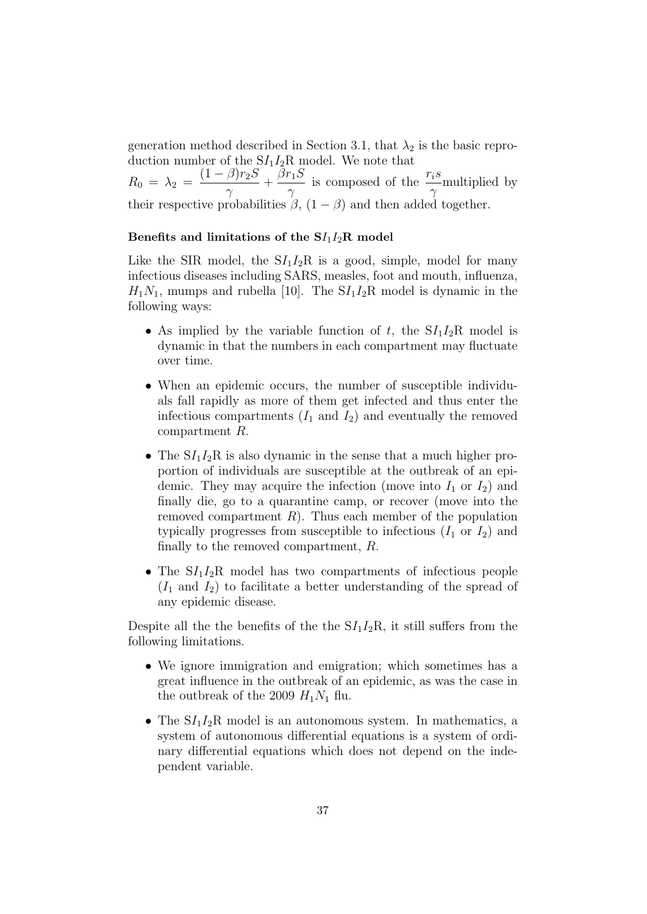generation method described in Section 3.1, that  $\lambda_2$  is the basic reproduction number of the  $SI_1I_2R$  model. We note that

 $R_0 = \lambda_2 =$  $(1 - \beta)r_2S$  $\gamma$  $+\frac{\beta r_1 S}{r_1}$  $\gamma$ is composed of the  $\frac{r_i s}{r_i}$  $\gamma$ multiplied by their respective probabilities  $\beta$ ,  $(1 - \beta)$  and then added together.

#### Benefits and limitations of the  $SI_1I_2R$  model

Like the SIR model, the  $SI_1I_2R$  is a good, simple, model for many infectious diseases including SARS, measles, foot and mouth, influenza,  $H_1N_1$ , mumps and rubella [10]. The  $S_I I_2R$  model is dynamic in the following ways:

- As implied by the variable function of t, the  $SI_1I_2R$  model is dynamic in that the numbers in each compartment may fluctuate over time.
- When an epidemic occurs, the number of susceptible individuals fall rapidly as more of them get infected and thus enter the infectious compartments  $(I_1 \text{ and } I_2)$  and eventually the removed compartment R.
- The  $SI_1I_2R$  is also dynamic in the sense that a much higher proportion of individuals are susceptible at the outbreak of an epidemic. They may acquire the infection (move into  $I_1$  or  $I_2$ ) and finally die, go to a quarantine camp, or recover (move into the removed compartment  $R$ ). Thus each member of the population typically progresses from susceptible to infectious  $(I_1 \text{ or } I_2)$  and finally to the removed compartment, R.
- The  $SI_1I_2R$  model has two compartments of infectious people  $(I_1 \text{ and } I_2)$  to facilitate a better understanding of the spread of any epidemic disease.

Despite all the the benefits of the the  $SI_1I_2R$ , it still suffers from the following limitations.

- We ignore immigration and emigration; which sometimes has a great influence in the outbreak of an epidemic, as was the case in the outbreak of the 2009  $H_1N_1$  flu.
- The  $SI_1I_2R$  model is an autonomous system. In mathematics, a system of autonomous differential equations is a system of ordinary differential equations which does not depend on the independent variable.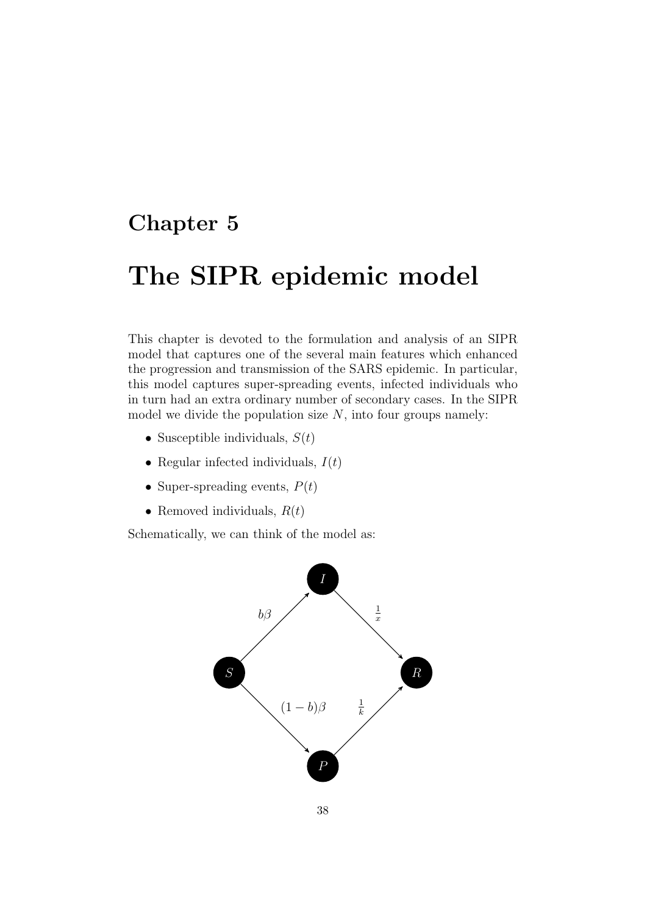# Chapter 5

# The SIPR epidemic model

This chapter is devoted to the formulation and analysis of an SIPR model that captures one of the several main features which enhanced the progression and transmission of the SARS epidemic. In particular, this model captures super-spreading events, infected individuals who in turn had an extra ordinary number of secondary cases. In the SIPR model we divide the population size  $N$ , into four groups namely:

- Susceptible individuals,  $S(t)$
- Regular infected individuals,  $I(t)$
- Super-spreading events,  $P(t)$
- Removed individuals,  $R(t)$

Schematically, we can think of the model as:

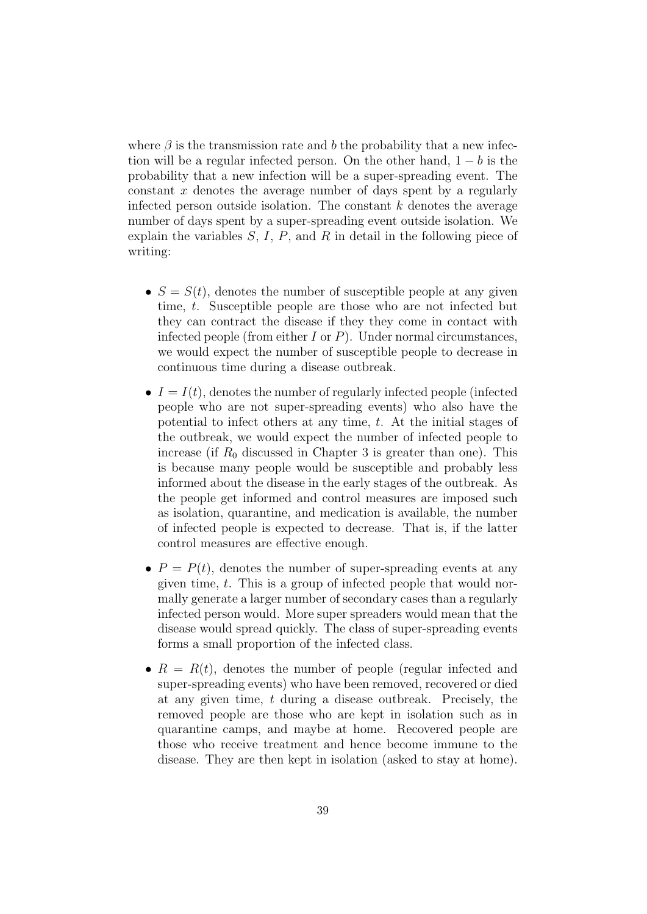where  $\beta$  is the transmission rate and b the probability that a new infection will be a regular infected person. On the other hand,  $1 - b$  is the probability that a new infection will be a super-spreading event. The constant x denotes the average number of days spent by a regularly infected person outside isolation. The constant  $k$  denotes the average number of days spent by a super-spreading event outside isolation. We explain the variables  $S, I, P$ , and  $R$  in detail in the following piece of writing:

- $S = S(t)$ , denotes the number of susceptible people at any given time, t. Susceptible people are those who are not infected but they can contract the disease if they they come in contact with infected people (from either I or  $P$ ). Under normal circumstances, we would expect the number of susceptible people to decrease in continuous time during a disease outbreak.
- $I = I(t)$ , denotes the number of regularly infected people (infected people who are not super-spreading events) who also have the potential to infect others at any time, t. At the initial stages of the outbreak, we would expect the number of infected people to increase (if  $R_0$  discussed in Chapter 3 is greater than one). This is because many people would be susceptible and probably less informed about the disease in the early stages of the outbreak. As the people get informed and control measures are imposed such as isolation, quarantine, and medication is available, the number of infected people is expected to decrease. That is, if the latter control measures are effective enough.
- $P = P(t)$ , denotes the number of super-spreading events at any given time, t. This is a group of infected people that would normally generate a larger number of secondary cases than a regularly infected person would. More super spreaders would mean that the disease would spread quickly. The class of super-spreading events forms a small proportion of the infected class.
- $R = R(t)$ , denotes the number of people (regular infected and super-spreading events) who have been removed, recovered or died at any given time, t during a disease outbreak. Precisely, the removed people are those who are kept in isolation such as in quarantine camps, and maybe at home. Recovered people are those who receive treatment and hence become immune to the disease. They are then kept in isolation (asked to stay at home).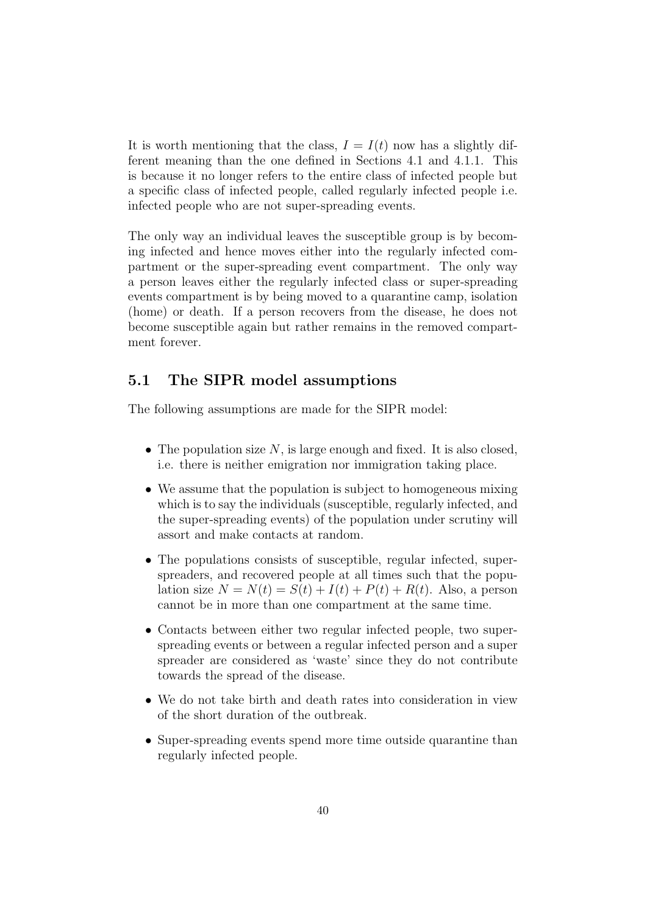It is worth mentioning that the class,  $I = I(t)$  now has a slightly different meaning than the one defined in Sections 4.1 and 4.1.1. This is because it no longer refers to the entire class of infected people but a specific class of infected people, called regularly infected people i.e. infected people who are not super-spreading events.

The only way an individual leaves the susceptible group is by becoming infected and hence moves either into the regularly infected compartment or the super-spreading event compartment. The only way a person leaves either the regularly infected class or super-spreading events compartment is by being moved to a quarantine camp, isolation (home) or death. If a person recovers from the disease, he does not become susceptible again but rather remains in the removed compartment forever.

## 5.1 The SIPR model assumptions

The following assumptions are made for the SIPR model:

- The population size  $N$ , is large enough and fixed. It is also closed, i.e. there is neither emigration nor immigration taking place.
- We assume that the population is subject to homogeneous mixing which is to say the individuals (susceptible, regularly infected, and the super-spreading events) of the population under scrutiny will assort and make contacts at random.
- The populations consists of susceptible, regular infected, superspreaders, and recovered people at all times such that the population size  $N = N(t) = S(t) + I(t) + P(t) + R(t)$ . Also, a person cannot be in more than one compartment at the same time.
- Contacts between either two regular infected people, two superspreading events or between a regular infected person and a super spreader are considered as 'waste' since they do not contribute towards the spread of the disease.
- We do not take birth and death rates into consideration in view of the short duration of the outbreak.
- Super-spreading events spend more time outside quarantine than regularly infected people.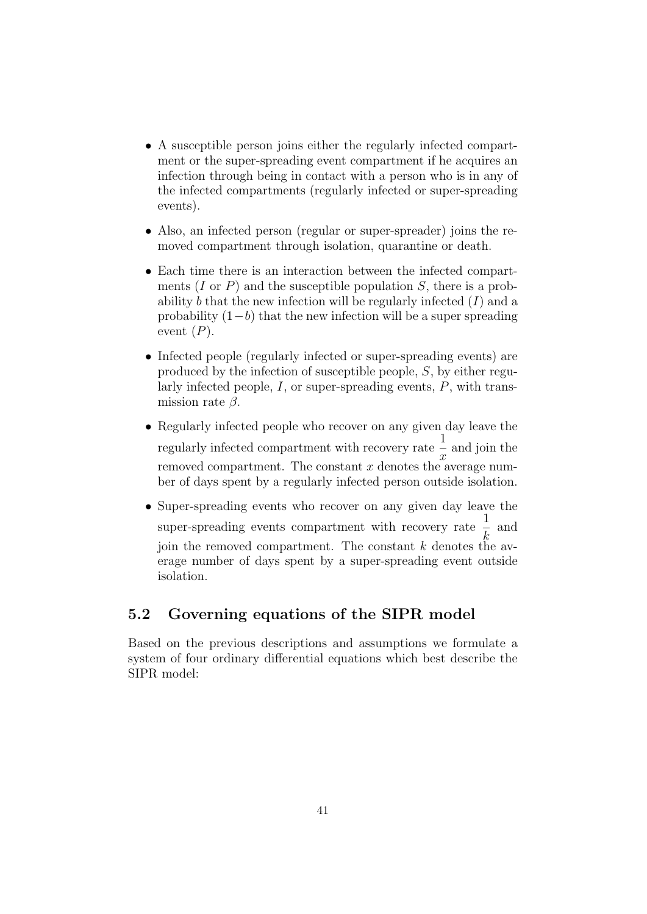- A susceptible person joins either the regularly infected compartment or the super-spreading event compartment if he acquires an infection through being in contact with a person who is in any of the infected compartments (regularly infected or super-spreading events).
- Also, an infected person (regular or super-spreader) joins the removed compartment through isolation, quarantine or death.
- Each time there is an interaction between the infected compartments  $(I \text{ or } P)$  and the susceptible population  $S$ , there is a probability b that the new infection will be regularly infected  $(I)$  and a probability  $(1-b)$  that the new infection will be a super spreading event  $(P)$ .
- Infected people (regularly infected or super-spreading events) are produced by the infection of susceptible people, S, by either regularly infected people,  $I$ , or super-spreading events,  $P$ , with transmission rate  $\beta$ .
- Regularly infected people who recover on any given day leave the regularly infected compartment with recovery rate  $\frac{1}{2}$  $\overline{x}$ and join the removed compartment. The constant  $x$  denotes the average number of days spent by a regularly infected person outside isolation.
- Super-spreading events who recover on any given day leave the super-spreading events compartment with recovery rate  $\frac{1}{7}$  and k join the removed compartment. The constant  $k$  denotes the average number of days spent by a super-spreading event outside isolation.

## 5.2 Governing equations of the SIPR model

Based on the previous descriptions and assumptions we formulate a system of four ordinary differential equations which best describe the SIPR model: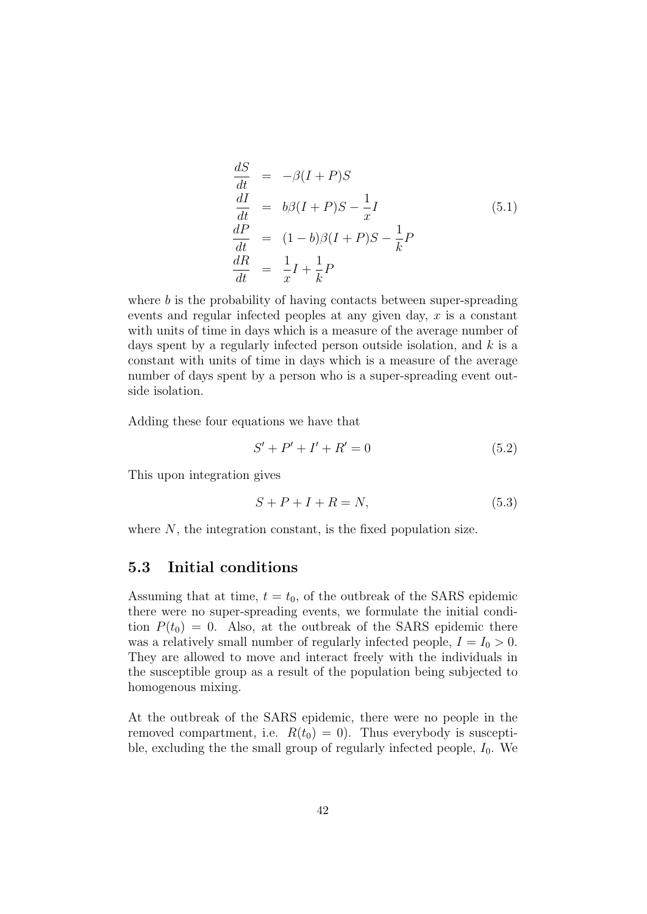$$
\begin{aligned}\n\frac{dS}{dt} &= -\beta (I+P)S\\
\frac{dI}{dt} &= b\beta (I+P)S - \frac{1}{x}I\\
\frac{dP}{dt} &= (1-b)\beta (I+P)S - \frac{1}{k}P\\
\frac{dR}{dt} &= \frac{1}{x}I + \frac{1}{k}P\n\end{aligned} \tag{5.1}
$$

where b is the probability of having contacts between super-spreading events and regular infected peoples at any given day,  $x$  is a constant with units of time in days which is a measure of the average number of days spent by a regularly infected person outside isolation, and  $k$  is a constant with units of time in days which is a measure of the average number of days spent by a person who is a super-spreading event outside isolation.

Adding these four equations we have that

$$
S' + P' + I' + R' = 0 \tag{5.2}
$$

This upon integration gives

$$
S + P + I + R = N,\t(5.3)
$$

where  $N$ , the integration constant, is the fixed population size.

#### 5.3 Initial conditions

Assuming that at time,  $t = t_0$ , of the outbreak of the SARS epidemic there were no super-spreading events, we formulate the initial condition  $P(t_0) = 0$ . Also, at the outbreak of the SARS epidemic there was a relatively small number of regularly infected people,  $I = I_0 > 0$ . They are allowed to move and interact freely with the individuals in the susceptible group as a result of the population being subjected to homogenous mixing.

At the outbreak of the SARS epidemic, there were no people in the removed compartment, i.e.  $R(t_0) = 0$ . Thus everybody is susceptible, excluding the the small group of regularly infected people,  $I_0$ . We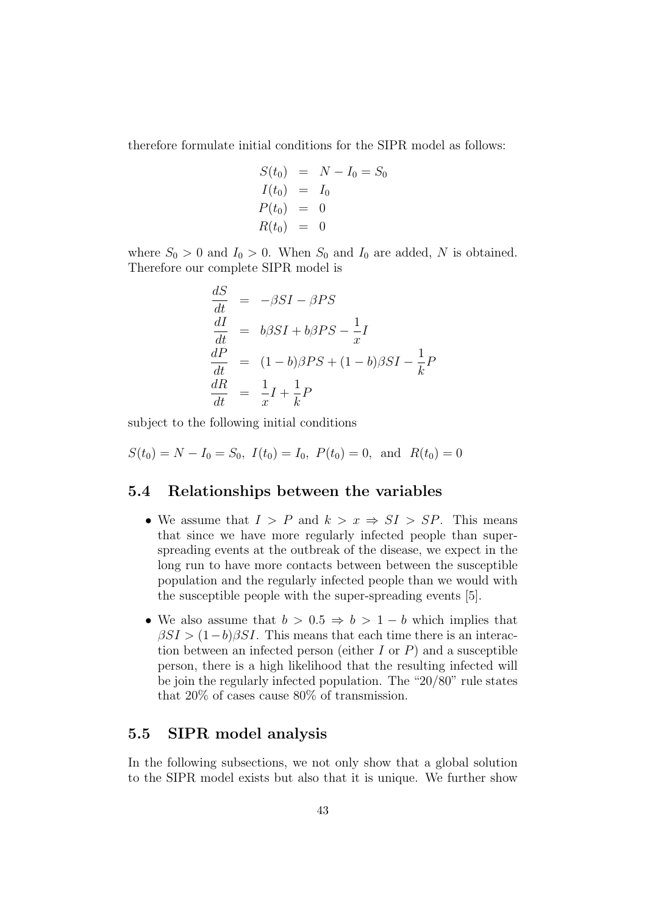therefore formulate initial conditions for the SIPR model as follows:

$$
S(t_0) = N - I_0 = S_0
$$
  
\n
$$
I(t_0) = I_0
$$
  
\n
$$
P(t_0) = 0
$$
  
\n
$$
R(t_0) = 0
$$

where  $S_0 > 0$  and  $I_0 > 0$ . When  $S_0$  and  $I_0$  are added, N is obtained. Therefore our complete SIPR model is

$$
\begin{aligned}\n\frac{dS}{dt} &= -\beta SI - \beta PS \\
\frac{dI}{dt} &= b\beta SI + b\beta PS - \frac{1}{x}I \\
\frac{dP}{dt} &= (1 - b)\beta PS + (1 - b)\beta SI - \frac{1}{k}P \\
\frac{dR}{dt} &= \frac{1}{x}I + \frac{1}{k}P\n\end{aligned}
$$

subject to the following initial conditions

 $S(t_0) = N - I_0 = S_0$ ,  $I(t_0) = I_0$ ,  $P(t_0) = 0$ , and  $R(t_0) = 0$ 

#### 5.4 Relationships between the variables

- We assume that  $I > P$  and  $k > x \Rightarrow SI > SP$ . This means that since we have more regularly infected people than superspreading events at the outbreak of the disease, we expect in the long run to have more contacts between between the susceptible population and the regularly infected people than we would with the susceptible people with the super-spreading events [5].
- We also assume that  $b > 0.5 \Rightarrow b > 1 b$  which implies that  $\beta SI > (1-b)\beta SI$ . This means that each time there is an interaction between an infected person (either  $I$  or  $P$ ) and a susceptible person, there is a high likelihood that the resulting infected will be join the regularly infected population. The "20/80" rule states that 20% of cases cause 80% of transmission.

## 5.5 SIPR model analysis

In the following subsections, we not only show that a global solution to the SIPR model exists but also that it is unique. We further show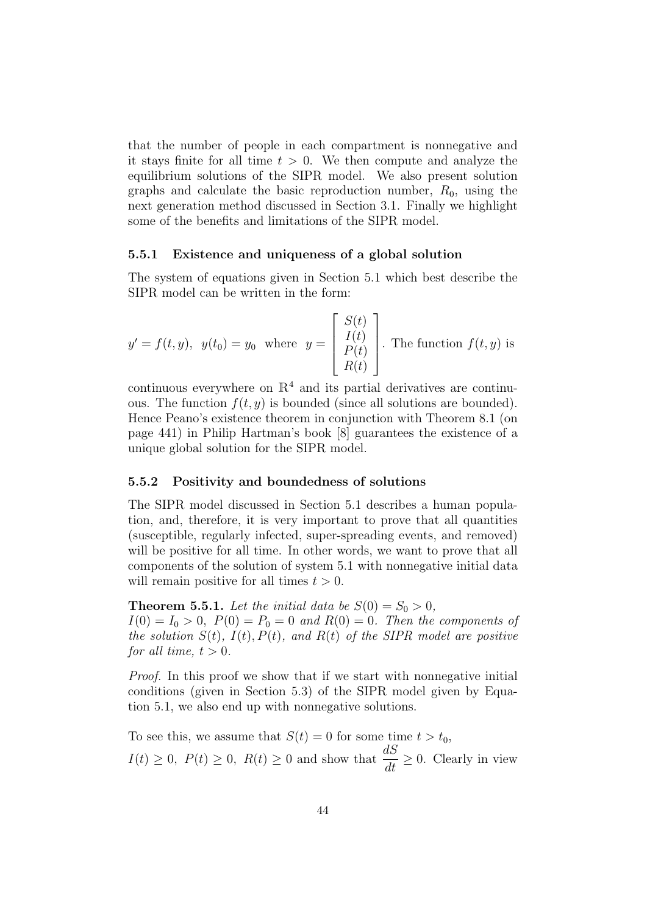that the number of people in each compartment is nonnegative and it stays finite for all time  $t > 0$ . We then compute and analyze the equilibrium solutions of the SIPR model. We also present solution graphs and calculate the basic reproduction number,  $R_0$ , using the next generation method discussed in Section 3.1. Finally we highlight some of the benefits and limitations of the SIPR model.

#### 5.5.1 Existence and uniqueness of a global solution

The system of equations given in Section 5.1 which best describe the SIPR model can be written in the form:

$$
y' = f(t, y), y(t_0) = y_0
$$
 where  $y = \begin{bmatrix} S(t) \\ I(t) \\ P(t) \\ R(t) \end{bmatrix}$ . The function  $f(t, y)$  is

continuous everywhere on  $\mathbb{R}^4$  and its partial derivatives are continuous. The function  $f(t, y)$  is bounded (since all solutions are bounded). Hence Peano's existence theorem in conjunction with Theorem 8.1 (on page 441) in Philip Hartman's book [8] guarantees the existence of a unique global solution for the SIPR model.

#### 5.5.2 Positivity and boundedness of solutions

The SIPR model discussed in Section 5.1 describes a human population, and, therefore, it is very important to prove that all quantities (susceptible, regularly infected, super-spreading events, and removed) will be positive for all time. In other words, we want to prove that all components of the solution of system 5.1 with nonnegative initial data will remain positive for all times  $t > 0$ .

**Theorem 5.5.1.** Let the initial data be  $S(0) = S_0 > 0$ ,  $I(0) = I_0 > 0$ ,  $P(0) = P_0 = 0$  and  $R(0) = 0$ . Then the components of the solution  $S(t)$ ,  $I(t)$ ,  $P(t)$ , and  $R(t)$  of the SIPR model are positive for all time,  $t > 0$ .

Proof. In this proof we show that if we start with nonnegative initial conditions (given in Section 5.3) of the SIPR model given by Equation 5.1, we also end up with nonnegative solutions.

To see this, we assume that  $S(t) = 0$  for some time  $t > t_0$ ,  $I(t) \geq 0$ ,  $P(t) \geq 0$ ,  $R(t) \geq 0$  and show that  $\frac{dS}{dt} \geq 0$ . Clearly in view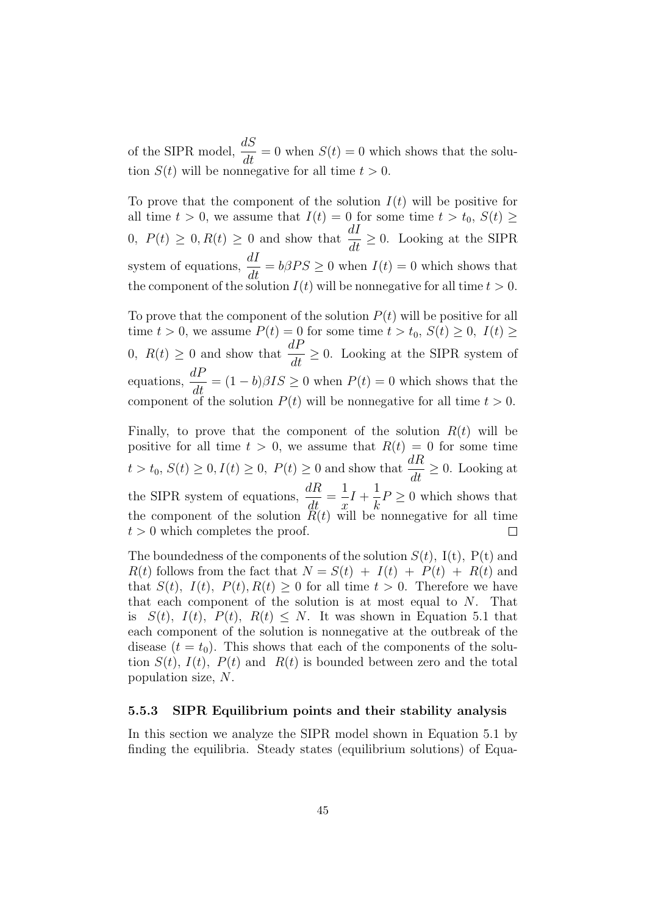of the SIPR model,  $\frac{dS}{dt}$  $\frac{dS}{dt} = 0$  when  $S(t) = 0$  which shows that the solution  $S(t)$  will be nonnegative for all time  $t > 0$ .

To prove that the component of the solution  $I(t)$  will be positive for all time  $t > 0$ , we assume that  $I(t) = 0$  for some time  $t > t_0$ ,  $S(t) \geq$ 0,  $P(t) \ge 0$ ,  $R(t) \ge 0$  and show that  $\frac{dI}{dt} \ge 0$ . Looking at the SIPR system of equations,  $\frac{dI}{dt} = b\beta PS \ge 0$  when  $I(t) = 0$  which shows that the component of the solution  $I(t)$  will be nonnegative for all time  $t > 0$ .

To prove that the component of the solution  $P(t)$  will be positive for all time  $t > 0$ , we assume  $P(t) = 0$  for some time  $t > t_0$ ,  $S(t) \geq 0$ ,  $I(t) \geq 0$ 0,  $R(t) \geq 0$  and show that  $\frac{dP}{dt} \geq 0$ . Looking at the SIPR system of equations,  $\frac{dP}{dt} = (1 - b)\beta IS \geq 0$  when  $P(t) = 0$  which shows that the component of the solution  $P(t)$  will be nonnegative for all time  $t > 0$ .

Finally, to prove that the component of the solution  $R(t)$  will be positive for all time  $t > 0$ , we assume that  $R(t) = 0$  for some time  $t > t_0, S(t) \geq 0, I(t) \geq 0, P(t) \geq 0$  and show that  $\frac{dR}{dt} \geq 0$ . Looking at the SIPR system of equations,  $\frac{dR}{dt}$ 1 1  $\frac{d\mathbf{r}}{dt}$  =  $I +$  $P \geq 0$  which shows that  $\overline{x}$ k the component of the solution  $\ddot{R}(t)$  will be nonnegative for all time  $t > 0$  which completes the proof.  $\Box$ 

The boundedness of the components of the solution  $S(t)$ , I(t), P(t) and  $R(t)$  follows from the fact that  $N = S(t) + I(t) + P(t) + R(t)$  and that  $S(t)$ ,  $I(t)$ ,  $P(t)$ ,  $R(t) \geq 0$  for all time  $t > 0$ . Therefore we have that each component of the solution is at most equal to  $N$ . That is  $S(t)$ ,  $I(t)$ ,  $P(t)$ ,  $R(t) \leq N$ . It was shown in Equation 5.1 that each component of the solution is nonnegative at the outbreak of the disease  $(t = t_0)$ . This shows that each of the components of the solution  $S(t)$ ,  $I(t)$ ,  $P(t)$  and  $R(t)$  is bounded between zero and the total population size, N.

#### 5.5.3 SIPR Equilibrium points and their stability analysis

In this section we analyze the SIPR model shown in Equation 5.1 by finding the equilibria. Steady states (equilibrium solutions) of Equa-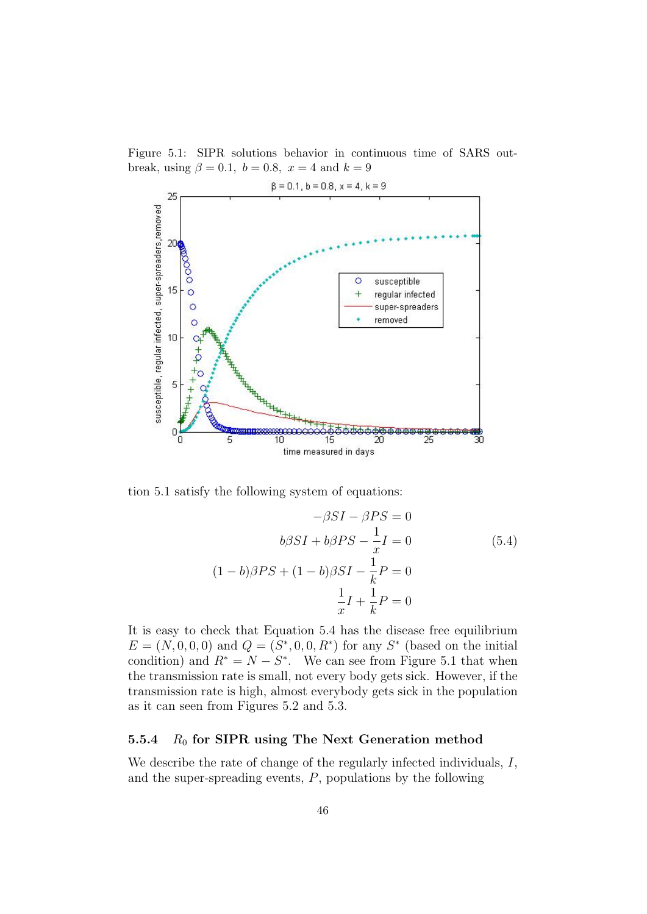

Figure 5.1: SIPR solutions behavior in continuous time of SARS outbreak, using  $\beta = 0.1$ ,  $b = 0.8$ ,  $x = 4$  and  $k = 9$ 

tion 5.1 satisfy the following system of equations:

$$
-\beta SI - \beta PS = 0
$$
  

$$
b\beta SI + b\beta PS - \frac{1}{x}I = 0
$$
  

$$
(1 - b)\beta PS + (1 - b)\beta SI - \frac{1}{k}P = 0
$$
  

$$
\frac{1}{x}I + \frac{1}{k}P = 0
$$
  
(5.4)

It is easy to check that Equation 5.4 has the disease free equilibrium  $E = (N, 0, 0, 0)$  and  $Q = (S^*, 0, 0, R^*)$  for any  $S^*$  (based on the initial condition) and  $R^* = N - S^*$ . We can see from Figure 5.1 that when the transmission rate is small, not every body gets sick. However, if the transmission rate is high, almost everybody gets sick in the population as it can seen from Figures 5.2 and 5.3.

#### 5.5.4  $R_0$  for SIPR using The Next Generation method

We describe the rate of change of the regularly infected individuals,  $I$ , and the super-spreading events, P, populations by the following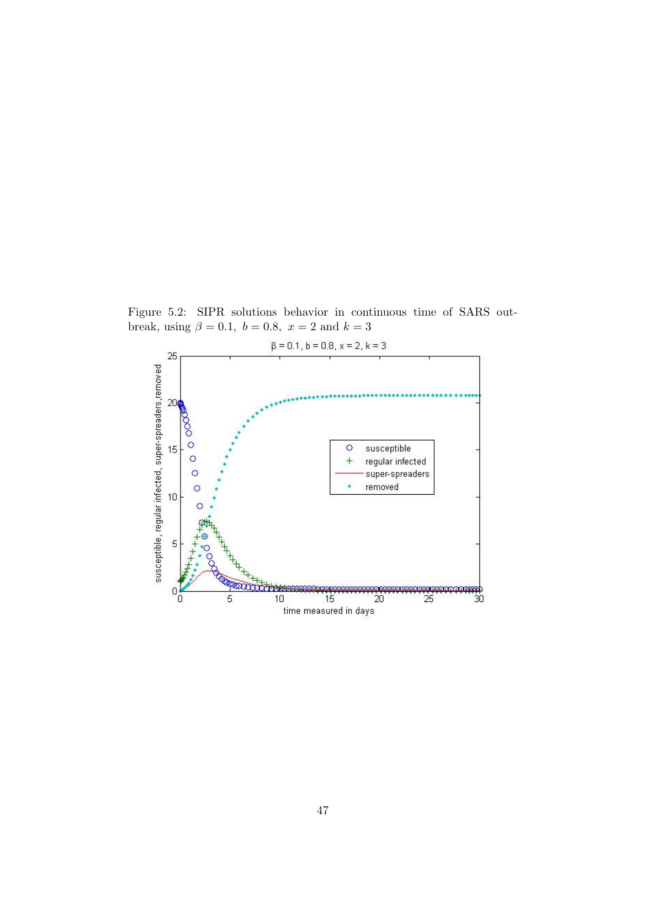Figure 5.2: SIPR solutions behavior in continuous time of SARS outbreak, using  $\beta = 0.1$ ,  $b = 0.8$ ,  $x = 2$  and  $k = 3$ 

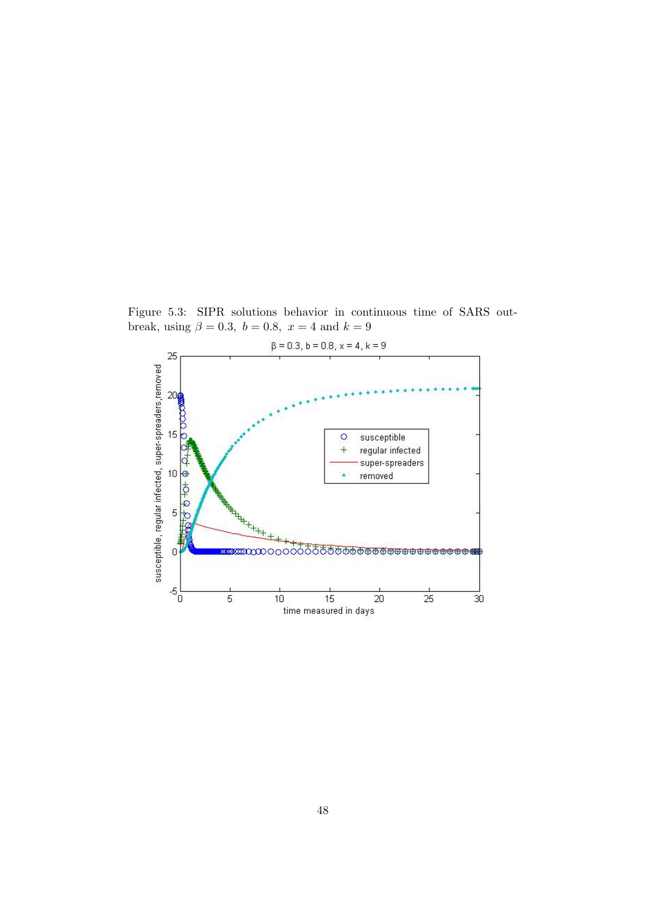Figure 5.3: SIPR solutions behavior in continuous time of SARS outbreak, using  $\beta = 0.3$ ,  $b = 0.8$ ,  $x = 4$  and  $k = 9$ 

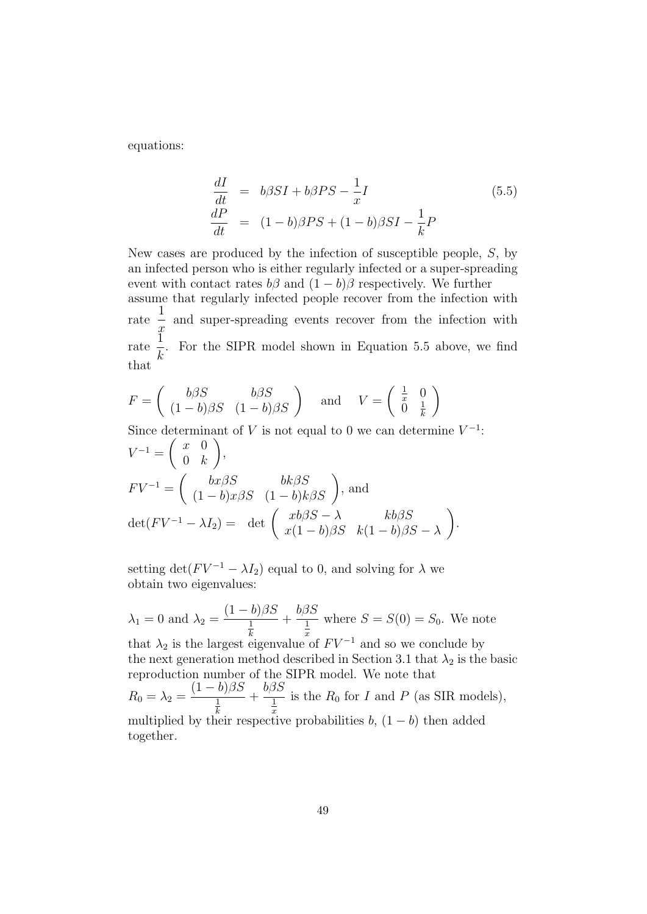equations:

$$
\begin{aligned}\n\frac{dI}{dt} &= b\beta SI + b\beta PS - \frac{1}{x}I\\
\frac{dP}{dt} &= (1 - b)\beta PS + (1 - b)\beta SI - \frac{1}{k}P\n\end{aligned} \tag{5.5}
$$

New cases are produced by the infection of susceptible people, S, by an infected person who is either regularly infected or a super-spreading event with contact rates  $b\beta$  and  $(1-b)\beta$  respectively. We further assume that regularly infected people recover from the infection with rate 1  $\ddot{x}$ and super-spreading events recover from the infection with rate  $\tilde{1}$ k . For the SIPR model shown in Equation 5.5 above, we find that

$$
F = \begin{pmatrix} b\beta S & b\beta S \\ (1-b)\beta S & (1-b)\beta S \end{pmatrix} \text{ and } V = \begin{pmatrix} \frac{1}{x} & 0 \\ 0 & \frac{1}{k} \end{pmatrix}
$$

Since determinant of V is not equal to 0 we can determine  $V^{-1}$ :  $V^{-1} = \left( \begin{array}{cc} x & 0 \\ 0 & k \end{array} \right)$  $0 \kappa$  $\setminus$ ,  $F V^{-1} = \begin{pmatrix} bx\beta S & bk\beta S \\ (1-b)x\beta S & (1-b)k\beta S \end{pmatrix}$ , and  $\det(FV^{-1} - \lambda I_2) = \det \begin{pmatrix} xb\beta S - \lambda & kb\beta S \\ x(1-b)\beta S - k(1-b)\beta S \end{pmatrix}$  $x(1-b)\beta S \quad k(1-b)\beta S - \lambda$  $\setminus$ .

setting det( $F V^{-1} - \lambda I_2$ ) equal to 0, and solving for  $\lambda$  we obtain two eigenvalues:

$$
\lambda_1 = 0
$$
 and  $\lambda_2 = \frac{(1-b)\beta S}{\frac{1}{k}} + \frac{b\beta S}{\frac{1}{x}}$  where  $S = S(0) = S_0$ . We note that  $\lambda_2$  is the largest eigenvalue of  $F V^{-1}$  and so we conclude by the next generation method described in Section 3.1 that  $\lambda_2$  is the basic reproduction number of the SIPR model. We note that  $R_0 = \lambda_2 = \frac{(1-b)\beta S}{\frac{1}{k}} + \frac{b\beta S}{\frac{1}{x}}$  is the  $R_0$  for  $I$  and  $P$  (as SIR models), multiplied by their respective probabilities  $b$ ,  $(1-b)$  then added together.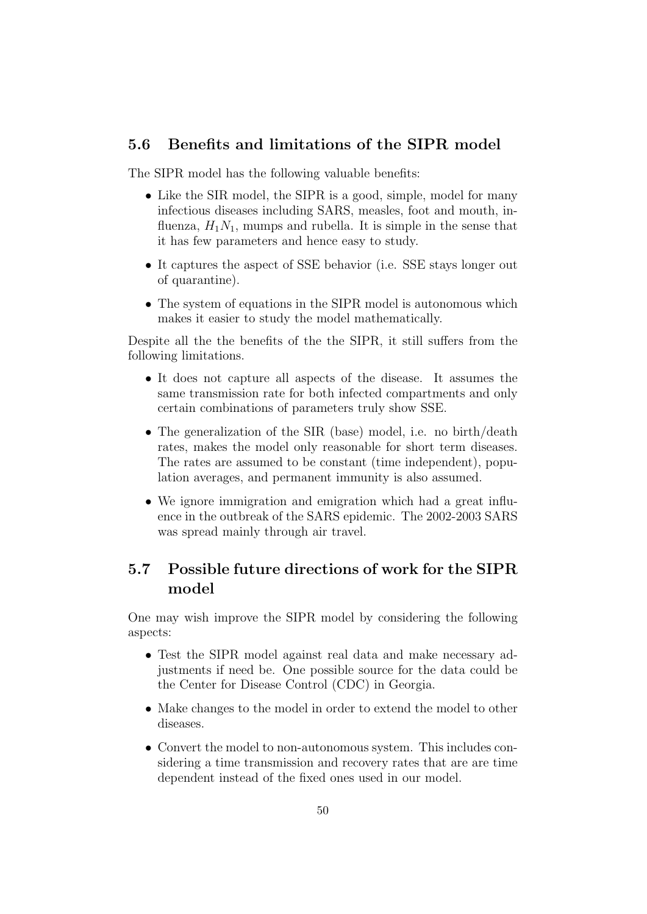## 5.6 Benefits and limitations of the SIPR model

The SIPR model has the following valuable benefits:

- Like the SIR model, the SIPR is a good, simple, model for many infectious diseases including SARS, measles, foot and mouth, influenza,  $H_1N_1$ , mumps and rubella. It is simple in the sense that it has few parameters and hence easy to study.
- It captures the aspect of SSE behavior (i.e. SSE stays longer out of quarantine).
- The system of equations in the SIPR model is autonomous which makes it easier to study the model mathematically.

Despite all the the benefits of the the SIPR, it still suffers from the following limitations.

- It does not capture all aspects of the disease. It assumes the same transmission rate for both infected compartments and only certain combinations of parameters truly show SSE.
- The generalization of the SIR (base) model, i.e. no birth/death rates, makes the model only reasonable for short term diseases. The rates are assumed to be constant (time independent), population averages, and permanent immunity is also assumed.
- We ignore immigration and emigration which had a great influence in the outbreak of the SARS epidemic. The 2002-2003 SARS was spread mainly through air travel.

# 5.7 Possible future directions of work for the SIPR model

One may wish improve the SIPR model by considering the following aspects:

- Test the SIPR model against real data and make necessary adjustments if need be. One possible source for the data could be the Center for Disease Control (CDC) in Georgia.
- Make changes to the model in order to extend the model to other diseases.
- Convert the model to non-autonomous system. This includes considering a time transmission and recovery rates that are are time dependent instead of the fixed ones used in our model.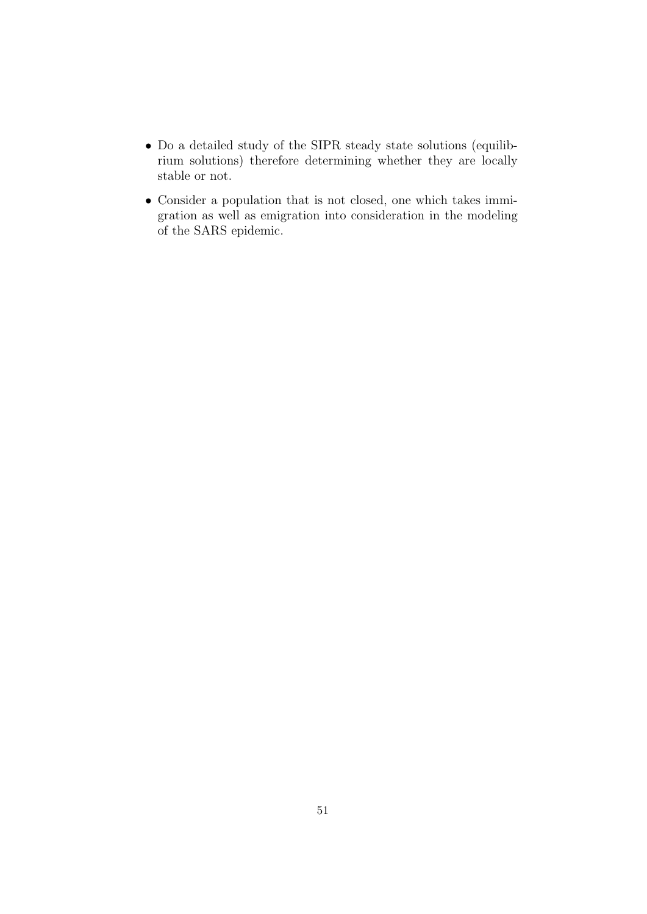- Do a detailed study of the SIPR steady state solutions (equilibrium solutions) therefore determining whether they are locally stable or not.
- Consider a population that is not closed, one which takes immigration as well as emigration into consideration in the modeling of the SARS epidemic.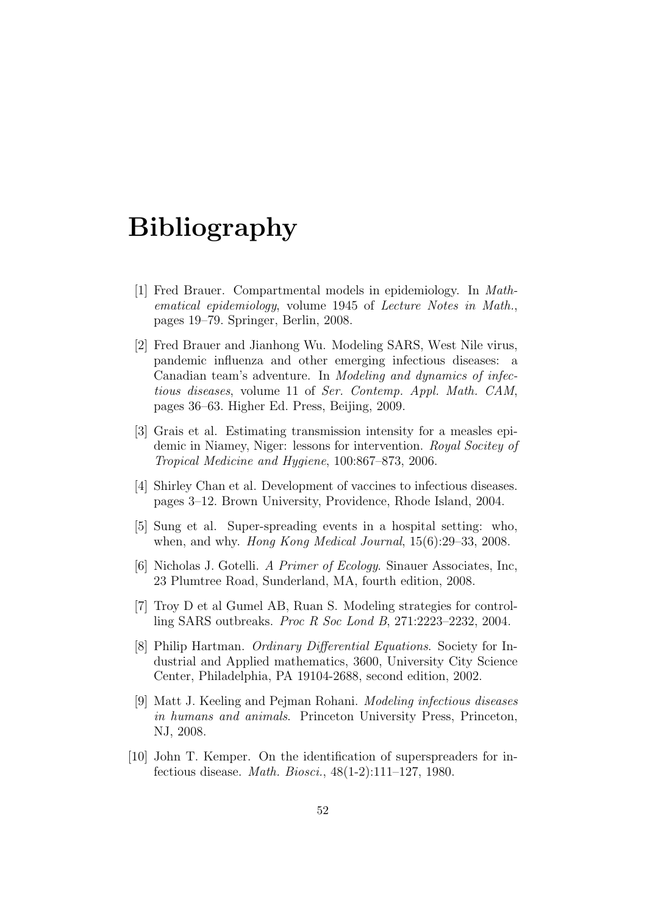# Bibliography

- [1] Fred Brauer. Compartmental models in epidemiology. In Mathematical epidemiology, volume 1945 of Lecture Notes in Math., pages 19–79. Springer, Berlin, 2008.
- [2] Fred Brauer and Jianhong Wu. Modeling SARS, West Nile virus, pandemic influenza and other emerging infectious diseases: a Canadian team's adventure. In Modeling and dynamics of infectious diseases, volume 11 of Ser. Contemp. Appl. Math. CAM, pages 36–63. Higher Ed. Press, Beijing, 2009.
- [3] Grais et al. Estimating transmission intensity for a measles epidemic in Niamey, Niger: lessons for intervention. Royal Socitey of Tropical Medicine and Hygiene, 100:867–873, 2006.
- [4] Shirley Chan et al. Development of vaccines to infectious diseases. pages 3–12. Brown University, Providence, Rhode Island, 2004.
- [5] Sung et al. Super-spreading events in a hospital setting: who, when, and why. Hong Kong Medical Journal, 15(6):29–33, 2008.
- [6] Nicholas J. Gotelli. A Primer of Ecology. Sinauer Associates, Inc, 23 Plumtree Road, Sunderland, MA, fourth edition, 2008.
- [7] Troy D et al Gumel AB, Ruan S. Modeling strategies for controlling SARS outbreaks. Proc R Soc Lond B, 271:2223–2232, 2004.
- [8] Philip Hartman. Ordinary Differential Equations. Society for Industrial and Applied mathematics, 3600, University City Science Center, Philadelphia, PA 19104-2688, second edition, 2002.
- [9] Matt J. Keeling and Pejman Rohani. Modeling infectious diseases in humans and animals. Princeton University Press, Princeton, NJ, 2008.
- [10] John T. Kemper. On the identification of superspreaders for infectious disease. Math. Biosci., 48(1-2):111–127, 1980.